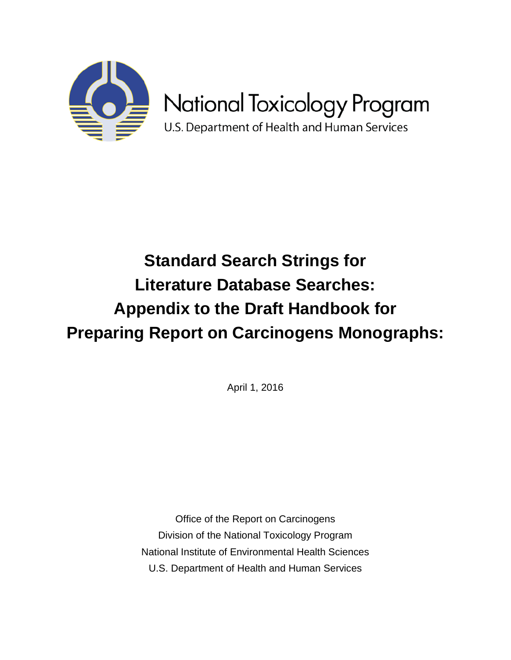

# **Standard Search Strings for Literature Database Searches: Appendix to the Draft Handbook for Preparing Report on Carcinogens Monographs:**

April 1, 2016

Office of the Report on Carcinogens Division of the National Toxicology Program National Institute of Environmental Health Sciences U.S. Department of Health and Human Services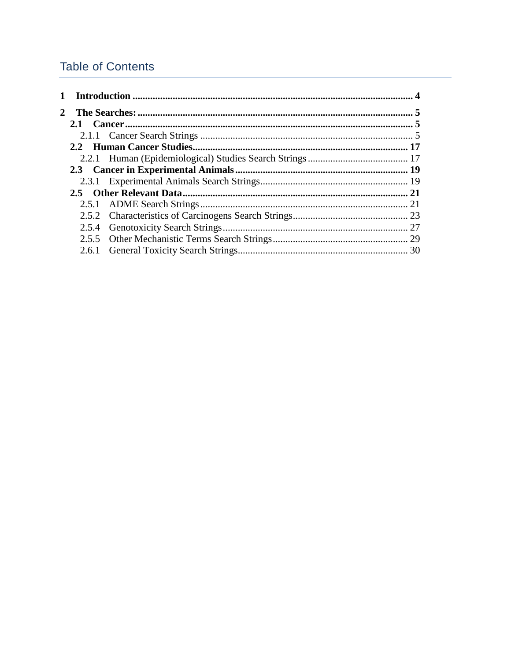# <span id="page-1-0"></span>**Table of Contents**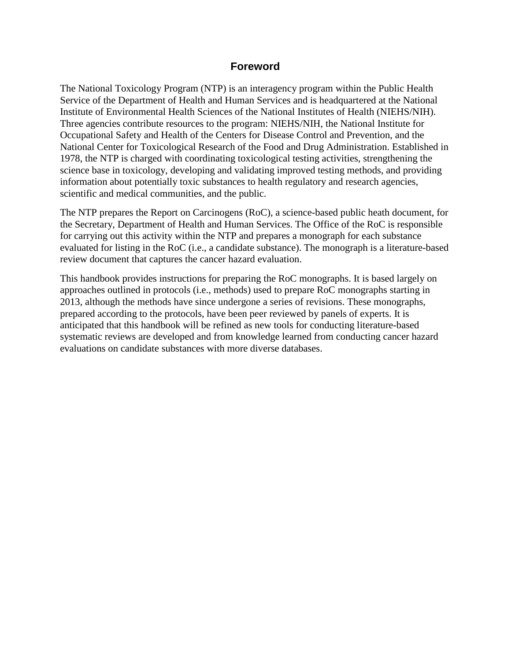# **Foreword**

The National Toxicology Program (NTP) is an interagency program within the Public Health Service of the Department of Health and Human Services and is headquartered at the National Institute of Environmental Health Sciences of the National Institutes of Health (NIEHS/NIH). Three agencies contribute resources to the program: NIEHS/NIH, the National Institute for Occupational Safety and Health of the Centers for Disease Control and Prevention, and the National Center for Toxicological Research of the Food and Drug Administration. Established in 1978, the NTP is charged with coordinating toxicological testing activities, strengthening the science base in toxicology, developing and validating improved testing methods, and providing information about potentially toxic substances to health regulatory and research agencies, scientific and medical communities, and the public.

The NTP prepares the Report on Carcinogens (RoC), a science-based public heath document, for the Secretary, Department of Health and Human Services. The Office of the RoC is responsible for carrying out this activity within the NTP and prepares a monograph for each substance evaluated for listing in the RoC (i.e., a candidate substance). The monograph is a literature-based review document that captures the cancer hazard evaluation.

This handbook provides instructions for preparing the RoC monographs. It is based largely on approaches outlined in protocols (i.e., methods) used to prepare RoC monographs starting in 2013, although the methods have since undergone a series of revisions. These monographs, prepared according to the protocols, have been peer reviewed by panels of experts. It is anticipated that this handbook will be refined as new tools for conducting literature-based systematic reviews are developed and from knowledge learned from conducting cancer hazard evaluations on candidate substances with more diverse databases.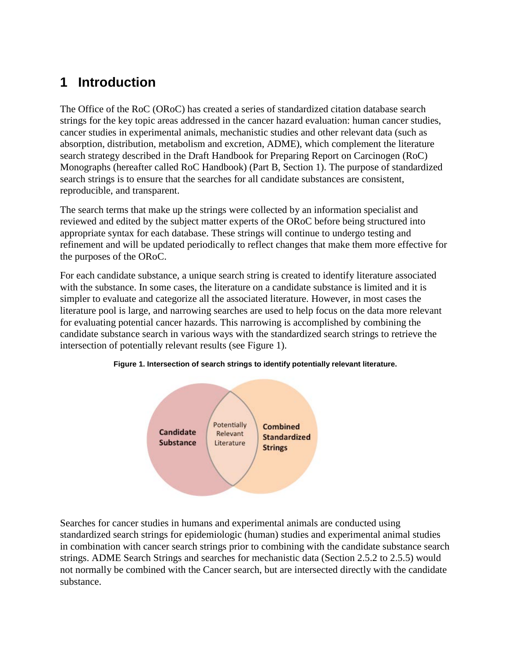# **1 Introduction**

The Office of the RoC (ORoC) has created a series of standardized citation database search strings for the key topic areas addressed in the cancer hazard evaluation: human cancer studies, cancer studies in experimental animals, mechanistic studies and other relevant data (such as absorption, distribution, metabolism and excretion, ADME), which complement the literature search strategy described in the Draft Handbook for Preparing Report on Carcinogen (RoC) Monographs (hereafter called RoC Handbook) (Part B, Section 1). The purpose of standardized search strings is to ensure that the searches for all candidate substances are consistent, reproducible, and transparent.

The search terms that make up the strings were collected by an information specialist and reviewed and edited by the subject matter experts of the ORoC before being structured into appropriate syntax for each database. These strings will continue to undergo testing and refinement and will be updated periodically to reflect changes that make them more effective for the purposes of the ORoC.

For each candidate substance, a unique search string is created to identify literature associated with the substance. In some cases, the literature on a candidate substance is limited and it is simpler to evaluate and categorize all the associated literature. However, in most cases the literature pool is large, and narrowing searches are used to help focus on the data more relevant for evaluating potential cancer hazards. This narrowing is accomplished by combining the candidate substance search in various ways with the standardized search strings to retrieve the intersection of potentially relevant results (see Figure 1).



**Figure 1. Intersection of search strings to identify potentially relevant literature.**

Searches for cancer studies in humans and experimental animals are conducted using standardized search strings for epidemiologic (human) studies and experimental animal studies in combination with cancer search strings prior to combining with the candidate substance search strings. ADME Search Strings and searches for mechanistic data (Section 2.5.2 to 2.5.5) would not normally be combined with the Cancer search, but are intersected directly with the candidate substance.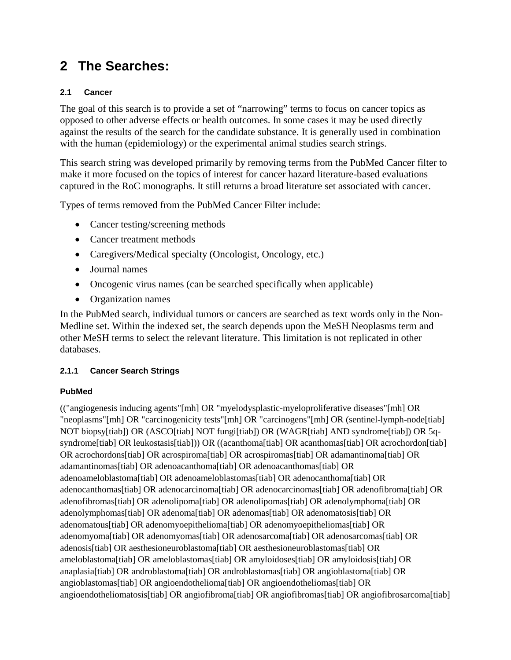# **2 The Searches:**

# **2.1 Cancer**

The goal of this search is to provide a set of "narrowing" terms to focus on cancer topics as opposed to other adverse effects or health outcomes. In some cases it may be used directly against the results of the search for the candidate substance. It is generally used in combination with the human (epidemiology) or the experimental animal studies search strings.

This search string was developed primarily by removing terms from the PubMed Cancer filter to make it more focused on the topics of interest for cancer hazard literature-based evaluations captured in the RoC monographs. It still returns a broad literature set associated with cancer.

Types of terms removed from the PubMed Cancer Filter include:

- Cancer testing/screening methods
- Cancer treatment methods
- Caregivers/Medical specialty (Oncologist, Oncology, etc.)
- Journal names
- Oncogenic virus names (can be searched specifically when applicable)
- Organization names

In the PubMed search, individual tumors or cancers are searched as text words only in the Non-Medline set. Within the indexed set, the search depends upon the MeSH Neoplasms term and other MeSH terms to select the relevant literature. This limitation is not replicated in other databases.

# **2.1.1 Cancer Search Strings**

# **PubMed**

(("angiogenesis inducing agents"[mh] OR "myelodysplastic-myeloproliferative diseases"[mh] OR "neoplasms"[mh] OR "carcinogenicity tests"[mh] OR "carcinogens"[mh] OR (sentinel-lymph-node[tiab] NOT biopsy[tiab]) OR (ASCO[tiab] NOT fungi[tiab]) OR (WAGR[tiab] AND syndrome[tiab]) OR 5qsyndrome[tiab] OR leukostasis[tiab]) OR ((acanthoma[tiab] OR acanthomas[tiab] OR acrochordon[tiab] OR acrochordons[tiab] OR acrospiroma[tiab] OR acrospiromas[tiab] OR adamantinoma[tiab] OR adamantinomas[tiab] OR adenoacanthoma[tiab] OR adenoacanthomas[tiab] OR adenoameloblastoma[tiab] OR adenoameloblastomas[tiab] OR adenocanthoma[tiab] OR adenocanthomas[tiab] OR adenocarcinoma[tiab] OR adenocarcinomas[tiab] OR adenofibroma[tiab] OR adenofibromas[tiab] OR adenolipoma[tiab] OR adenolipomas[tiab] OR adenolymphoma[tiab] OR adenolymphomas[tiab] OR adenoma[tiab] OR adenomas[tiab] OR adenomatosis[tiab] OR adenomatous[tiab] OR adenomyoepithelioma[tiab] OR adenomyoepitheliomas[tiab] OR adenomyoma[tiab] OR adenomyomas[tiab] OR adenosarcoma[tiab] OR adenosarcomas[tiab] OR adenosis[tiab] OR aesthesioneuroblastoma[tiab] OR aesthesioneuroblastomas[tiab] OR ameloblastoma[tiab] OR ameloblastomas[tiab] OR amyloidoses[tiab] OR amyloidosis[tiab] OR anaplasia[tiab] OR androblastoma[tiab] OR androblastomas[tiab] OR angioblastoma[tiab] OR angioblastomas[tiab] OR angioendothelioma[tiab] OR angioendotheliomas[tiab] OR angioendotheliomatosis[tiab] OR angiofibroma[tiab] OR angiofibromas[tiab] OR angiofibrosarcoma[tiab]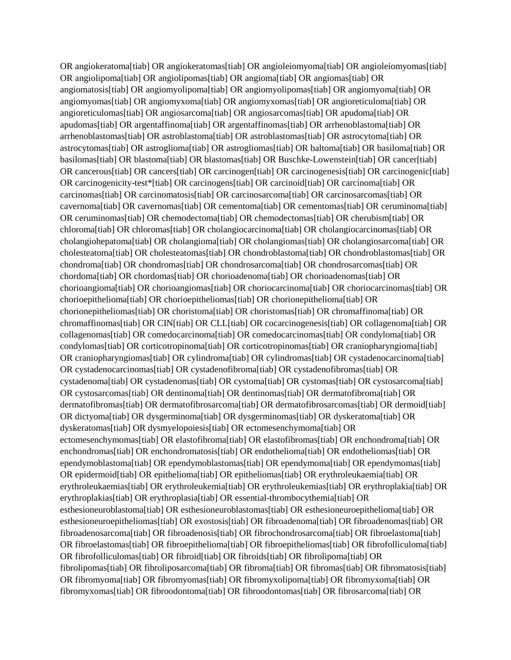OR angiokeratoma[tiab] OR angiokeratomas[tiab] OR angioleiomyoma[tiab] OR angioleiomyomas[tiab] OR angiolipoma[tiab] OR angiolipomas[tiab] OR angioma[tiab] OR angiomas[tiab] OR angiomatosis[tiab] OR angiomyolipoma[tiab] OR angiomyolipomas[tiab] OR angiomyoma[tiab] OR angiomyomas[tiab] OR angiomyxoma[tiab] OR angiomyxomas[tiab] OR angioreticuloma[tiab] OR angioreticulomas[tiab] OR angiosarcoma[tiab] OR angiosarcomas[tiab] OR apudoma[tiab] OR apudomas[tiab] OR argentaffinoma[tiab] OR argentaffinomas[tiab] OR arrhenoblastoma[tiab] OR arrhenoblastomas[tiab] OR astroblastoma[tiab] OR astroblastomas[tiab] OR astrocytoma[tiab] OR astrocytomas[tiab] OR astroglioma[tiab] OR astrogliomas[tiab] OR baltoma[tiab] OR basiloma[tiab] OR basilomas[tiab] OR blastoma[tiab] OR blastomas[tiab] OR Buschke-Lowenstein[tiab] OR cancer[tiab] OR cancerous[tiab] OR cancers[tiab] OR carcinogen[tiab] OR carcinogenesis[tiab] OR carcinogenic[tiab] OR carcinogenicity-test\*[tiab] OR carcinogens[tiab] OR carcinoid[tiab] OR carcinoma[tiab] OR carcinomas[tiab] OR carcinomatosis[tiab] OR carcinosarcoma[tiab] OR carcinosarcomas[tiab] OR cavernoma[tiab] OR cavernomas[tiab] OR cementoma[tiab] OR cementomas[tiab] OR ceruminoma[tiab] OR ceruminomas[tiab] OR chemodectoma[tiab] OR chemodectomas[tiab] OR cherubism[tiab] OR chloroma[tiab] OR chloromas[tiab] OR cholangiocarcinoma[tiab] OR cholangiocarcinomas[tiab] OR cholangiohepatoma[tiab] OR cholangioma[tiab] OR cholangiomas[tiab] OR cholangiosarcoma[tiab] OR cholesteatoma[tiab] OR cholesteatomas[tiab] OR chondroblastoma[tiab] OR chondroblastomas[tiab] OR chondroma[tiab] OR chondromas[tiab] OR chondrosarcoma[tiab] OR chondrosarcomas[tiab] OR chordoma[tiab] OR chordomas[tiab] OR chorioadenoma[tiab] OR chorioadenomas[tiab] OR chorioangioma[tiab] OR chorioangiomas[tiab] OR choriocarcinoma[tiab] OR choriocarcinomas[tiab] OR chorioepithelioma[tiab] OR chorioepitheliomas[tiab] OR chorionepithelioma[tiab] OR chorionepitheliomas[tiab] OR choristoma[tiab] OR choristomas[tiab] OR chromaffinoma[tiab] OR chromaffinomas[tiab] OR CIN[tiab] OR CLL[tiab] OR cocarcinogenesis[tiab] OR collagenoma[tiab] OR collagenomas[tiab] OR comedocarcinoma[tiab] OR comedocarcinomas[tiab] OR condyloma[tiab] OR condylomas[tiab] OR corticotropinoma[tiab] OR corticotropinomas[tiab] OR craniopharyngioma[tiab] OR craniopharyngiomas[tiab] OR cylindroma[tiab] OR cylindromas[tiab] OR cystadenocarcinoma[tiab] OR cystadenocarcinomas[tiab] OR cystadenofibroma[tiab] OR cystadenofibromas[tiab] OR cystadenoma[tiab] OR cystadenomas[tiab] OR cystoma[tiab] OR cystomas[tiab] OR cystosarcoma[tiab] OR cystosarcomas[tiab] OR dentinoma[tiab] OR dentinomas[tiab] OR dermatofibroma[tiab] OR dermatofibromas[tiab] OR dermatofibrosarcoma[tiab] OR dermatofibrosarcomas[tiab] OR dermoid[tiab] OR dictyoma[tiab] OR dysgerminoma[tiab] OR dysgerminomas[tiab] OR dyskeratoma[tiab] OR dyskeratomas[tiab] OR dysmyelopoiesis[tiab] OR ectomesenchymoma[tiab] OR ectomesenchymomas[tiab] OR elastofibroma[tiab] OR elastofibromas[tiab] OR enchondroma[tiab] OR enchondromas[tiab] OR enchondromatosis[tiab] OR endothelioma[tiab] OR endotheliomas[tiab] OR ependymoblastoma[tiab] OR ependymoblastomas[tiab] OR ependymoma[tiab] OR ependymomas[tiab] OR epidermoid[tiab] OR epithelioma[tiab] OR epitheliomas[tiab] OR erythroleukaemia[tiab] OR erythroleukaemias[tiab] OR erythroleukemia[tiab] OR erythroleukemias[tiab] OR erythroplakia[tiab] OR erythroplakias[tiab] OR erythroplasia[tiab] OR essential-thrombocythemia[tiab] OR esthesioneuroblastoma[tiab] OR esthesioneuroblastomas[tiab] OR esthesioneuroepithelioma[tiab] OR esthesioneuroepitheliomas[tiab] OR exostosis[tiab] OR fibroadenoma[tiab] OR fibroadenomas[tiab] OR fibroadenosarcoma[tiab] OR fibroadenosis[tiab] OR fibrochondrosarcoma[tiab] OR fibroelastoma[tiab] OR fibroelastomas[tiab] OR fibroepithelioma[tiab] OR fibroepitheliomas[tiab] OR fibrofolliculoma[tiab] OR fibrofolliculomas[tiab] OR fibroid[tiab] OR fibroids[tiab] OR fibrolipoma[tiab] OR fibrolipomas[tiab] OR fibroliposarcoma[tiab] OR fibroma[tiab] OR fibromas[tiab] OR fibromatosis[tiab] OR fibromyoma[tiab] OR fibromyomas[tiab] OR fibromyxolipoma[tiab] OR fibromyxoma[tiab] OR fibromyxomas[tiab] OR fibroodontoma[tiab] OR fibroodontomas[tiab] OR fibrosarcoma[tiab] OR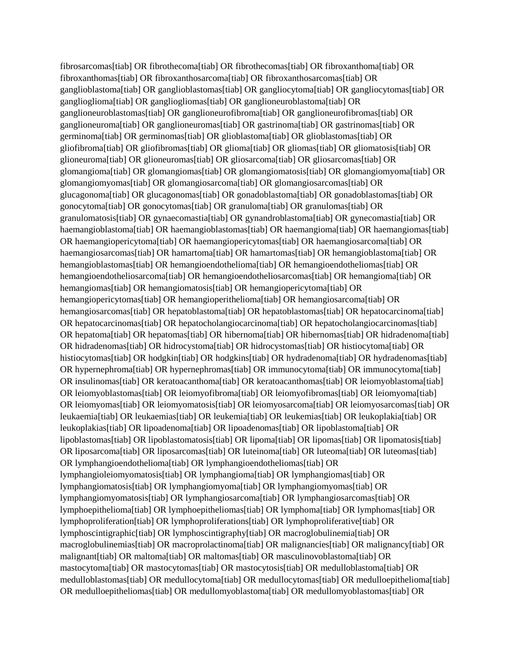fibrosarcomas[tiab] OR fibrothecoma[tiab] OR fibrothecomas[tiab] OR fibroxanthoma[tiab] OR fibroxanthomas[tiab] OR fibroxanthosarcoma[tiab] OR fibroxanthosarcomas[tiab] OR ganglioblastoma[tiab] OR ganglioblastomas[tiab] OR gangliocytoma[tiab] OR gangliocytomas[tiab] OR ganglioglioma[tiab] OR gangliogliomas[tiab] OR ganglioneuroblastoma[tiab] OR ganglioneuroblastomas[tiab] OR ganglioneurofibroma[tiab] OR ganglioneurofibromas[tiab] OR ganglioneuroma[tiab] OR ganglioneuromas[tiab] OR gastrinoma[tiab] OR gastrinomas[tiab] OR germinoma[tiab] OR germinomas[tiab] OR glioblastoma[tiab] OR glioblastomas[tiab] OR gliofibroma[tiab] OR gliofibromas[tiab] OR glioma[tiab] OR gliomas[tiab] OR gliomatosis[tiab] OR glioneuroma[tiab] OR glioneuromas[tiab] OR gliosarcoma[tiab] OR gliosarcomas[tiab] OR glomangioma[tiab] OR glomangiomas[tiab] OR glomangiomatosis[tiab] OR glomangiomyoma[tiab] OR glomangiomyomas[tiab] OR glomangiosarcoma[tiab] OR glomangiosarcomas[tiab] OR glucagonoma[tiab] OR glucagonomas[tiab] OR gonadoblastoma[tiab] OR gonadoblastomas[tiab] OR gonocytoma[tiab] OR gonocytomas[tiab] OR granuloma[tiab] OR granulomas[tiab] OR granulomatosis[tiab] OR gynaecomastia[tiab] OR gynandroblastoma[tiab] OR gynecomastia[tiab] OR haemangioblastoma[tiab] OR haemangioblastomas[tiab] OR haemangioma[tiab] OR haemangiomas[tiab] OR haemangiopericytoma[tiab] OR haemangiopericytomas[tiab] OR haemangiosarcoma[tiab] OR haemangiosarcomas[tiab] OR hamartoma[tiab] OR hamartomas[tiab] OR hemangioblastoma[tiab] OR hemangioblastomas[tiab] OR hemangioendothelioma[tiab] OR hemangioendotheliomas[tiab] OR hemangioendotheliosarcoma[tiab] OR hemangioendotheliosarcomas[tiab] OR hemangioma[tiab] OR hemangiomas[tiab] OR hemangiomatosis[tiab] OR hemangiopericytoma[tiab] OR hemangiopericytomas[tiab] OR hemangioperithelioma[tiab] OR hemangiosarcoma[tiab] OR hemangiosarcomas[tiab] OR hepatoblastoma[tiab] OR hepatoblastomas[tiab] OR hepatocarcinoma[tiab] OR hepatocarcinomas[tiab] OR hepatocholangiocarcinoma[tiab] OR hepatocholangiocarcinomas[tiab] OR hepatoma[tiab] OR hepatomas[tiab] OR hibernoma[tiab] OR hibernomas[tiab] OR hidradenoma[tiab] OR hidradenomas[tiab] OR hidrocystoma[tiab] OR hidrocystomas[tiab] OR histiocytoma[tiab] OR histiocytomas[tiab] OR hodgkin[tiab] OR hodgkins[tiab] OR hydradenoma[tiab] OR hydradenomas[tiab] OR hypernephroma[tiab] OR hypernephromas[tiab] OR immunocytoma[tiab] OR immunocytoma[tiab] OR insulinomas[tiab] OR keratoacanthoma[tiab] OR keratoacanthomas[tiab] OR leiomyoblastoma[tiab] OR leiomyoblastomas[tiab] OR leiomyofibroma[tiab] OR leiomyofibromas[tiab] OR leiomyoma[tiab] OR leiomyomas[tiab] OR leiomyomatosis[tiab] OR leiomyosarcoma[tiab] OR leiomyosarcomas[tiab] OR leukaemia[tiab] OR leukaemias[tiab] OR leukemia[tiab] OR leukemias[tiab] OR leukoplakia[tiab] OR leukoplakias[tiab] OR lipoadenoma[tiab] OR lipoadenomas[tiab] OR lipoblastoma[tiab] OR lipoblastomas[tiab] OR lipoblastomatosis[tiab] OR lipoma[tiab] OR lipomas[tiab] OR lipomatosis[tiab] OR liposarcoma[tiab] OR liposarcomas[tiab] OR luteinoma[tiab] OR luteoma[tiab] OR luteomas[tiab] OR lymphangioendothelioma[tiab] OR lymphangioendotheliomas[tiab] OR lymphangioleiomyomatosis[tiab] OR lymphangioma[tiab] OR lymphangiomas[tiab] OR lymphangiomatosis[tiab] OR lymphangiomyoma[tiab] OR lymphangiomyomas[tiab] OR lymphangiomyomatosis[tiab] OR lymphangiosarcoma[tiab] OR lymphangiosarcomas[tiab] OR lymphoepithelioma[tiab] OR lymphoepitheliomas[tiab] OR lymphoma[tiab] OR lymphomas[tiab] OR lymphoproliferation[tiab] OR lymphoproliferations[tiab] OR lymphoproliferative[tiab] OR lymphoscintigraphic[tiab] OR lymphoscintigraphy[tiab] OR macroglobulinemia[tiab] OR macroglobulinemias[tiab] OR macroprolactinoma[tiab] OR malignancies[tiab] OR malignancy[tiab] OR malignant[tiab] OR maltoma[tiab] OR maltomas[tiab] OR masculinovoblastoma[tiab] OR mastocytoma[tiab] OR mastocytomas[tiab] OR mastocytosis[tiab] OR medulloblastoma[tiab] OR medulloblastomas[tiab] OR medullocytoma[tiab] OR medullocytomas[tiab] OR medulloepithelioma[tiab] OR medulloepitheliomas[tiab] OR medullomyoblastoma[tiab] OR medullomyoblastomas[tiab] OR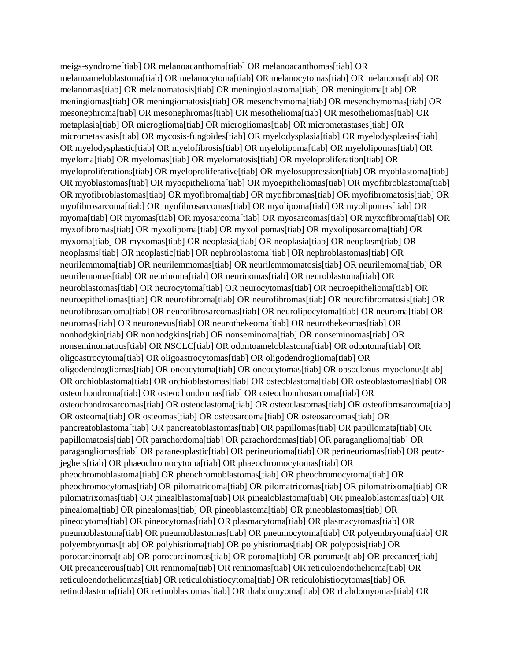meigs-syndrome[tiab] OR melanoacanthoma[tiab] OR melanoacanthomas[tiab] OR melanoameloblastoma[tiab] OR melanocytoma[tiab] OR melanocytomas[tiab] OR melanoma[tiab] OR melanomas[tiab] OR melanomatosis[tiab] OR meningioblastoma[tiab] OR meningioma[tiab] OR meningiomas[tiab] OR meningiomatosis[tiab] OR mesenchymoma[tiab] OR mesenchymomas[tiab] OR mesonephroma[tiab] OR mesonephromas[tiab] OR mesothelioma[tiab] OR mesotheliomas[tiab] OR metaplasia[tiab] OR microglioma[tiab] OR microgliomas[tiab] OR micrometastases[tiab] OR micrometastasis[tiab] OR mycosis-fungoides[tiab] OR myelodysplasia[tiab] OR myelodysplasias[tiab] OR myelodysplastic[tiab] OR myelofibrosis[tiab] OR myelolipoma[tiab] OR myelolipomas[tiab] OR myeloma[tiab] OR myelomas[tiab] OR myelomatosis[tiab] OR myeloproliferation[tiab] OR myeloproliferations[tiab] OR myeloproliferative[tiab] OR myelosuppression[tiab] OR myoblastoma[tiab] OR myoblastomas[tiab] OR myoepithelioma[tiab] OR myoepitheliomas[tiab] OR myofibroblastoma[tiab] OR myofibroblastomas[tiab] OR myofibroma[tiab] OR myofibromas[tiab] OR myofibromatosis[tiab] OR myofibrosarcoma[tiab] OR myofibrosarcomas[tiab] OR myolipoma[tiab] OR myolipomas[tiab] OR myoma[tiab] OR myomas[tiab] OR myosarcoma[tiab] OR myosarcomas[tiab] OR myxofibroma[tiab] OR myxofibromas[tiab] OR myxolipoma[tiab] OR myxolipomas[tiab] OR myxoliposarcoma[tiab] OR myxoma[tiab] OR myxomas[tiab] OR neoplasia[tiab] OR neoplasia[tiab] OR neoplasm[tiab] OR neoplasms[tiab] OR neoplastic[tiab] OR nephroblastoma[tiab] OR nephroblastomas[tiab] OR neurilemmoma[tiab] OR neurilemmomas[tiab] OR neurilemmomatosis[tiab] OR neurilemoma[tiab] OR neurilemomas[tiab] OR neurinoma[tiab] OR neurinomas[tiab] OR neuroblastoma[tiab] OR neuroblastomas[tiab] OR neurocytoma[tiab] OR neurocytomas[tiab] OR neuroepithelioma[tiab] OR neuroepitheliomas[tiab] OR neurofibroma[tiab] OR neurofibromas[tiab] OR neurofibromatosis[tiab] OR neurofibrosarcoma[tiab] OR neurofibrosarcomas[tiab] OR neurolipocytoma[tiab] OR neuroma[tiab] OR neuromas[tiab] OR neuronevus[tiab] OR neurothekeoma[tiab] OR neurothekeomas[tiab] OR nonhodgkin[tiab] OR nonhodgkins[tiab] OR nonseminoma[tiab] OR nonseminomas[tiab] OR nonseminomatous[tiab] OR NSCLC[tiab] OR odontoameloblastoma[tiab] OR odontoma[tiab] OR oligoastrocytoma[tiab] OR oligoastrocytomas[tiab] OR oligodendroglioma[tiab] OR oligodendrogliomas[tiab] OR oncocytoma[tiab] OR oncocytomas[tiab] OR opsoclonus-myoclonus[tiab] OR orchioblastoma[tiab] OR orchioblastomas[tiab] OR osteoblastoma[tiab] OR osteoblastomas[tiab] OR osteochondroma[tiab] OR osteochondromas[tiab] OR osteochondrosarcoma[tiab] OR osteochondrosarcomas[tiab] OR osteoclastoma[tiab] OR osteoclastomas[tiab] OR osteofibrosarcoma[tiab] OR osteoma[tiab] OR osteomas[tiab] OR osteosarcoma[tiab] OR osteosarcomas[tiab] OR pancreatoblastoma[tiab] OR pancreatoblastomas[tiab] OR papillomas[tiab] OR papillomata[tiab] OR papillomatosis[tiab] OR parachordoma[tiab] OR parachordomas[tiab] OR paraganglioma[tiab] OR paragangliomas[tiab] OR paraneoplastic[tiab] OR perineurioma[tiab] OR perineuriomas[tiab] OR peutzjeghers[tiab] OR phaeochromocytoma[tiab] OR phaeochromocytomas[tiab] OR pheochromoblastoma[tiab] OR pheochromoblastomas[tiab] OR pheochromocytoma[tiab] OR pheochromocytomas[tiab] OR pilomatricoma[tiab] OR pilomatricomas[tiab] OR pilomatrixoma[tiab] OR pilomatrixomas[tiab] OR pinealblastoma[tiab] OR pinealoblastoma[tiab] OR pinealoblastomas[tiab] OR pinealoma[tiab] OR pinealomas[tiab] OR pineoblastoma[tiab] OR pineoblastomas[tiab] OR pineocytoma[tiab] OR pineocytomas[tiab] OR plasmacytoma[tiab] OR plasmacytomas[tiab] OR pneumoblastoma[tiab] OR pneumoblastomas[tiab] OR pneumocytoma[tiab] OR polyembryoma[tiab] OR polyembryomas[tiab] OR polyhistioma[tiab] OR polyhistiomas[tiab] OR polyposis[tiab] OR porocarcinoma[tiab] OR porocarcinomas[tiab] OR poroma[tiab] OR poromas[tiab] OR precancer[tiab] OR precancerous[tiab] OR reninoma[tiab] OR reninomas[tiab] OR reticuloendothelioma[tiab] OR reticuloendotheliomas[tiab] OR reticulohistiocytoma[tiab] OR reticulohistiocytomas[tiab] OR retinoblastoma[tiab] OR retinoblastomas[tiab] OR rhabdomyoma[tiab] OR rhabdomyomas[tiab] OR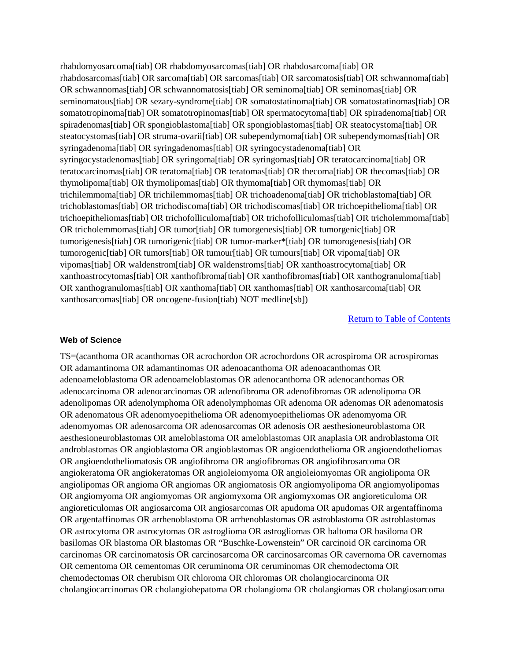rhabdomyosarcoma[tiab] OR rhabdomyosarcomas[tiab] OR rhabdosarcoma[tiab] OR rhabdosarcomas[tiab] OR sarcoma[tiab] OR sarcomas[tiab] OR sarcomatosis[tiab] OR schwannoma[tiab] OR schwannomas[tiab] OR schwannomatosis[tiab] OR seminoma[tiab] OR seminomas[tiab] OR seminomatous[tiab] OR sezary-syndrome[tiab] OR somatostatinoma[tiab] OR somatostatinomas[tiab] OR somatotropinoma[tiab] OR somatotropinomas[tiab] OR spermatocytoma[tiab] OR spiradenoma[tiab] OR spiradenomas[tiab] OR spongioblastoma[tiab] OR spongioblastomas[tiab] OR steatocystoma[tiab] OR steatocystomas[tiab] OR struma-ovarii[tiab] OR subependymoma[tiab] OR subependymomas[tiab] OR syringadenoma[tiab] OR syringadenomas[tiab] OR syringocystadenoma[tiab] OR syringocystadenomas[tiab] OR syringoma[tiab] OR syringomas[tiab] OR teratocarcinoma[tiab] OR teratocarcinomas[tiab] OR teratoma[tiab] OR teratomas[tiab] OR thecoma[tiab] OR thecomas[tiab] OR thymolipoma[tiab] OR thymolipomas[tiab] OR thymoma[tiab] OR thymomas[tiab] OR trichilemmoma[tiab] OR trichilemmomas[tiab] OR trichoadenoma[tiab] OR trichoblastoma[tiab] OR trichoblastomas[tiab] OR trichodiscoma[tiab] OR trichodiscomas[tiab] OR trichoepithelioma[tiab] OR trichoepitheliomas[tiab] OR trichofolliculoma[tiab] OR trichofolliculomas[tiab] OR tricholemmoma[tiab] OR tricholemmomas[tiab] OR tumor[tiab] OR tumorgenesis[tiab] OR tumorgenic[tiab] OR tumorigenesis[tiab] OR tumorigenic[tiab] OR tumor-marker\*[tiab] OR tumorogenesis[tiab] OR tumorogenic[tiab] OR tumors[tiab] OR tumour[tiab] OR tumours[tiab] OR vipoma[tiab] OR vipomas[tiab] OR waldenstrom[tiab] OR waldenstroms[tiab] OR xanthoastrocytoma[tiab] OR xanthoastrocytomas[tiab] OR xanthofibroma[tiab] OR xanthofibromas[tiab] OR xanthogranuloma[tiab] OR xanthogranulomas[tiab] OR xanthoma[tiab] OR xanthomas[tiab] OR xanthosarcoma[tiab] OR xanthosarcomas[tiab] OR oncogene-fusion[tiab) NOT medline[sb])

[Return to Table of Contents](#page-1-0)

#### **Web of Science**

TS=(acanthoma OR acanthomas OR acrochordon OR acrochordons OR acrospiroma OR acrospiromas OR adamantinoma OR adamantinomas OR adenoacanthoma OR adenoacanthomas OR adenoameloblastoma OR adenoameloblastomas OR adenocanthoma OR adenocanthomas OR adenocarcinoma OR adenocarcinomas OR adenofibroma OR adenofibromas OR adenolipoma OR adenolipomas OR adenolymphoma OR adenolymphomas OR adenoma OR adenomas OR adenomatosis OR adenomatous OR adenomyoepithelioma OR adenomyoepitheliomas OR adenomyoma OR adenomyomas OR adenosarcoma OR adenosarcomas OR adenosis OR aesthesioneuroblastoma OR aesthesioneuroblastomas OR ameloblastoma OR ameloblastomas OR anaplasia OR androblastoma OR androblastomas OR angioblastoma OR angioblastomas OR angioendothelioma OR angioendotheliomas OR angioendotheliomatosis OR angiofibroma OR angiofibromas OR angiofibrosarcoma OR angiokeratoma OR angiokeratomas OR angioleiomyoma OR angioleiomyomas OR angiolipoma OR angiolipomas OR angioma OR angiomas OR angiomatosis OR angiomyolipoma OR angiomyolipomas OR angiomyoma OR angiomyomas OR angiomyxoma OR angiomyxomas OR angioreticuloma OR angioreticulomas OR angiosarcoma OR angiosarcomas OR apudoma OR apudomas OR argentaffinoma OR argentaffinomas OR arrhenoblastoma OR arrhenoblastomas OR astroblastoma OR astroblastomas OR astrocytoma OR astrocytomas OR astroglioma OR astrogliomas OR baltoma OR basiloma OR basilomas OR blastoma OR blastomas OR "Buschke-Lowenstein" OR carcinoid OR carcinoma OR carcinomas OR carcinomatosis OR carcinosarcoma OR carcinosarcomas OR cavernoma OR cavernomas OR cementoma OR cementomas OR ceruminoma OR ceruminomas OR chemodectoma OR chemodectomas OR cherubism OR chloroma OR chloromas OR cholangiocarcinoma OR cholangiocarcinomas OR cholangiohepatoma OR cholangioma OR cholangiomas OR cholangiosarcoma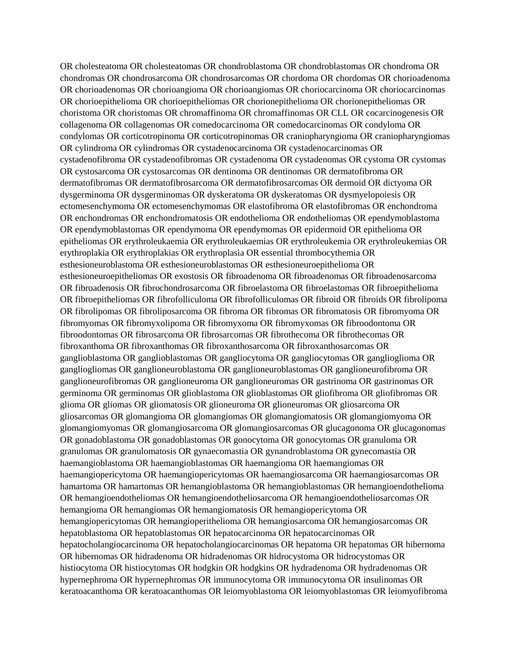OR cholesteatoma OR cholesteatomas OR chondroblastoma OR chondroblastomas OR chondroma OR chondromas OR chondrosarcoma OR chondrosarcomas OR chordoma OR chordomas OR chorioadenoma OR chorioadenomas OR chorioangioma OR chorioangiomas OR choriocarcinoma OR choriocarcinomas OR chorioepithelioma OR chorioepitheliomas OR chorionepithelioma OR chorionepitheliomas OR choristoma OR choristomas OR chromaffinoma OR chromaffinomas OR CLL OR cocarcinogenesis OR collagenoma OR collagenomas OR comedocarcinoma OR comedocarcinomas OR condyloma OR condylomas OR corticotropinoma OR corticotropinomas OR craniopharyngioma OR craniopharyngiomas OR cylindroma OR cylindromas OR cystadenocarcinoma OR cystadenocarcinomas OR cystadenofibroma OR cystadenofibromas OR cystadenoma OR cystadenomas OR cystoma OR cystomas OR cystosarcoma OR cystosarcomas OR dentinoma OR dentinomas OR dermatofibroma OR dermatofibromas OR dermatofibrosarcoma OR dermatofibrosarcomas OR dermoid OR dictyoma OR dysgerminoma OR dysgerminomas OR dyskeratoma OR dyskeratomas OR dysmyelopoiesis OR ectomesenchymoma OR ectomesenchymomas OR elastofibroma OR elastofibromas OR enchondroma OR enchondromas OR enchondromatosis OR endothelioma OR endotheliomas OR ependymoblastoma OR ependymoblastomas OR ependymoma OR ependymomas OR epidermoid OR epithelioma OR epitheliomas OR erythroleukaemia OR erythroleukaemias OR erythroleukemia OR erythroleukemias OR erythroplakia OR erythroplakias OR erythroplasia OR essential thrombocythemia OR esthesioneuroblastoma OR esthesioneuroblastomas OR esthesioneuroepithelioma OR esthesioneuroepitheliomas OR exostosis OR fibroadenoma OR fibroadenomas OR fibroadenosarcoma OR fibroadenosis OR fibrochondrosarcoma OR fibroelastoma OR fibroelastomas OR fibroepithelioma OR fibroepitheliomas OR fibrofolliculoma OR fibrofolliculomas OR fibroid OR fibroids OR fibrolipoma OR fibrolipomas OR fibroliposarcoma OR fibroma OR fibromas OR fibromatosis OR fibromyoma OR fibromyomas OR fibromyxolipoma OR fibromyxoma OR fibromyxomas OR fibroodontoma OR fibroodontomas OR fibrosarcoma OR fibrosarcomas OR fibrothecoma OR fibrothecomas OR fibroxanthoma OR fibroxanthomas OR fibroxanthosarcoma OR fibroxanthosarcomas OR ganglioblastoma OR ganglioblastomas OR gangliocytoma OR gangliocytomas OR ganglioglioma OR gangliogliomas OR ganglioneuroblastoma OR ganglioneuroblastomas OR ganglioneurofibroma OR ganglioneurofibromas OR ganglioneuroma OR ganglioneuromas OR gastrinoma OR gastrinomas OR germinoma OR germinomas OR glioblastoma OR glioblastomas OR gliofibroma OR gliofibromas OR glioma OR gliomas OR gliomatosis OR glioneuroma OR glioneuromas OR gliosarcoma OR gliosarcomas OR glomangioma OR glomangiomas OR glomangiomatosis OR glomangiomyoma OR glomangiomyomas OR glomangiosarcoma OR glomangiosarcomas OR glucagonoma OR glucagonomas OR gonadoblastoma OR gonadoblastomas OR gonocytoma OR gonocytomas OR granuloma OR granulomas OR granulomatosis OR gynaecomastia OR gynandroblastoma OR gynecomastia OR haemangioblastoma OR haemangioblastomas OR haemangioma OR haemangiomas OR haemangiopericytoma OR haemangiopericytomas OR haemangiosarcoma OR haemangiosarcomas OR hamartoma OR hamartomas OR hemangioblastoma OR hemangioblastomas OR hemangioendothelioma OR hemangioendotheliomas OR hemangioendotheliosarcoma OR hemangioendotheliosarcomas OR hemangioma OR hemangiomas OR hemangiomatosis OR hemangiopericytoma OR hemangiopericytomas OR hemangioperithelioma OR hemangiosarcoma OR hemangiosarcomas OR hepatoblastoma OR hepatoblastomas OR hepatocarcinoma OR hepatocarcinomas OR hepatocholangiocarcinoma OR hepatocholangiocarcinomas OR hepatoma OR hepatomas OR hibernoma OR hibernomas OR hidradenoma OR hidradenomas OR hidrocystoma OR hidrocystomas OR histiocytoma OR histiocytomas OR hodgkin OR hodgkins OR hydradenoma OR hydradenomas OR hypernephroma OR hypernephromas OR immunocytoma OR immunocytoma OR insulinomas OR keratoacanthoma OR keratoacanthomas OR leiomyoblastoma OR leiomyoblastomas OR leiomyofibroma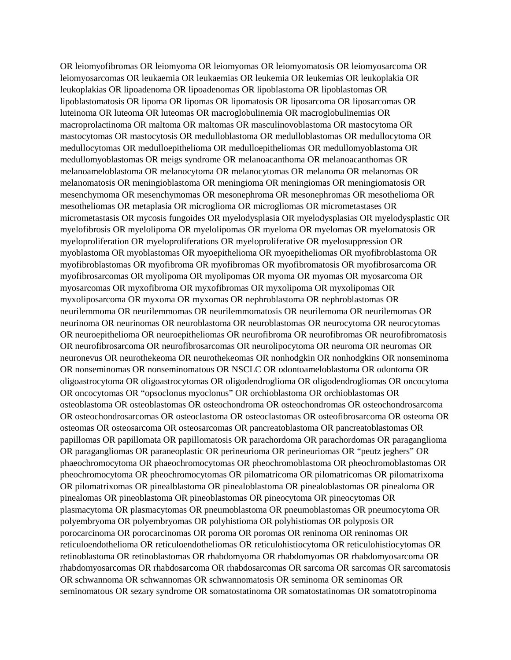OR leiomyofibromas OR leiomyoma OR leiomyomas OR leiomyomatosis OR leiomyosarcoma OR leiomyosarcomas OR leukaemia OR leukaemias OR leukemia OR leukemias OR leukoplakia OR leukoplakias OR lipoadenoma OR lipoadenomas OR lipoblastoma OR lipoblastomas OR lipoblastomatosis OR lipoma OR lipomas OR lipomatosis OR liposarcoma OR liposarcomas OR luteinoma OR luteoma OR luteomas OR macroglobulinemia OR macroglobulinemias OR macroprolactinoma OR maltoma OR maltomas OR masculinovoblastoma OR mastocytoma OR mastocytomas OR mastocytosis OR medulloblastoma OR medulloblastomas OR medullocytoma OR medullocytomas OR medulloepithelioma OR medulloepitheliomas OR medullomyoblastoma OR medullomyoblastomas OR meigs syndrome OR melanoacanthoma OR melanoacanthomas OR melanoameloblastoma OR melanocytoma OR melanocytomas OR melanoma OR melanomas OR melanomatosis OR meningioblastoma OR meningioma OR meningiomas OR meningiomatosis OR mesenchymoma OR mesenchymomas OR mesonephroma OR mesonephromas OR mesothelioma OR mesotheliomas OR metaplasia OR microglioma OR microgliomas OR micrometastases OR micrometastasis OR mycosis fungoides OR myelodysplasia OR myelodysplasias OR myelodysplastic OR myelofibrosis OR myelolipoma OR myelolipomas OR myeloma OR myelomas OR myelomatosis OR myeloproliferation OR myeloproliferations OR myeloproliferative OR myelosuppression OR myoblastoma OR myoblastomas OR myoepithelioma OR myoepitheliomas OR myofibroblastoma OR myofibroblastomas OR myofibroma OR myofibromas OR myofibromatosis OR myofibrosarcoma OR myofibrosarcomas OR myolipoma OR myolipomas OR myoma OR myomas OR myosarcoma OR myosarcomas OR myxofibroma OR myxofibromas OR myxolipoma OR myxolipomas OR myxoliposarcoma OR myxoma OR myxomas OR nephroblastoma OR nephroblastomas OR neurilemmoma OR neurilemmomas OR neurilemmomatosis OR neurilemoma OR neurilemomas OR neurinoma OR neurinomas OR neuroblastoma OR neuroblastomas OR neurocytoma OR neurocytomas OR neuroepithelioma OR neuroepitheliomas OR neurofibroma OR neurofibromas OR neurofibromatosis OR neurofibrosarcoma OR neurofibrosarcomas OR neurolipocytoma OR neuroma OR neuromas OR neuronevus OR neurothekeoma OR neurothekeomas OR nonhodgkin OR nonhodgkins OR nonseminoma OR nonseminomas OR nonseminomatous OR NSCLC OR odontoameloblastoma OR odontoma OR oligoastrocytoma OR oligoastrocytomas OR oligodendroglioma OR oligodendrogliomas OR oncocytoma OR oncocytomas OR "opsoclonus myoclonus" OR orchioblastoma OR orchioblastomas OR osteoblastoma OR osteoblastomas OR osteochondroma OR osteochondromas OR osteochondrosarcoma OR osteochondrosarcomas OR osteoclastoma OR osteoclastomas OR osteofibrosarcoma OR osteoma OR osteomas OR osteosarcoma OR osteosarcomas OR pancreatoblastoma OR pancreatoblastomas OR papillomas OR papillomata OR papillomatosis OR parachordoma OR parachordomas OR paraganglioma OR paragangliomas OR paraneoplastic OR perineurioma OR perineuriomas OR "peutz jeghers" OR phaeochromocytoma OR phaeochromocytomas OR pheochromoblastoma OR pheochromoblastomas OR pheochromocytoma OR pheochromocytomas OR pilomatricoma OR pilomatricomas OR pilomatrixoma OR pilomatrixomas OR pinealblastoma OR pinealoblastoma OR pinealoblastomas OR pinealoma OR pinealomas OR pineoblastoma OR pineoblastomas OR pineocytoma OR pineocytomas OR plasmacytoma OR plasmacytomas OR pneumoblastoma OR pneumoblastomas OR pneumocytoma OR polyembryoma OR polyembryomas OR polyhistioma OR polyhistiomas OR polyposis OR porocarcinoma OR porocarcinomas OR poroma OR poromas OR reninoma OR reninomas OR reticuloendothelioma OR reticuloendotheliomas OR reticulohistiocytoma OR reticulohistiocytomas OR retinoblastoma OR retinoblastomas OR rhabdomyoma OR rhabdomyomas OR rhabdomyosarcoma OR rhabdomyosarcomas OR rhabdosarcoma OR rhabdosarcomas OR sarcoma OR sarcomas OR sarcomatosis OR schwannoma OR schwannomas OR schwannomatosis OR seminoma OR seminomas OR seminomatous OR sezary syndrome OR somatostatinoma OR somatostatinomas OR somatotropinoma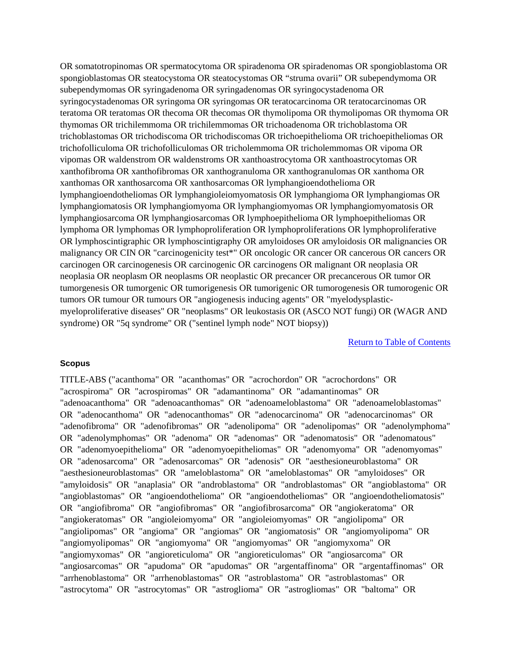OR somatotropinomas OR spermatocytoma OR spiradenoma OR spiradenomas OR spongioblastoma OR spongioblastomas OR steatocystoma OR steatocystomas OR "struma ovarii" OR subependymoma OR subependymomas OR syringadenoma OR syringadenomas OR syringocystadenoma OR syringocystadenomas OR syringoma OR syringomas OR teratocarcinoma OR teratocarcinomas OR teratoma OR teratomas OR thecoma OR thecomas OR thymolipoma OR thymolipomas OR thymoma OR thymomas OR trichilemmoma OR trichilemmomas OR trichoadenoma OR trichoblastoma OR trichoblastomas OR trichodiscoma OR trichodiscomas OR trichoepithelioma OR trichoepitheliomas OR trichofolliculoma OR trichofolliculomas OR tricholemmoma OR tricholemmomas OR vipoma OR vipomas OR waldenstrom OR waldenstroms OR xanthoastrocytoma OR xanthoastrocytomas OR xanthofibroma OR xanthofibromas OR xanthogranuloma OR xanthogranulomas OR xanthoma OR xanthomas OR xanthosarcoma OR xanthosarcomas OR lymphangioendothelioma OR lymphangioendotheliomas OR lymphangioleiomyomatosis OR lymphangioma OR lymphangiomas OR lymphangiomatosis OR lymphangiomyoma OR lymphangiomyomas OR lymphangiomyomatosis OR lymphangiosarcoma OR lymphangiosarcomas OR lymphoepithelioma OR lymphoepitheliomas OR lymphoma OR lymphomas OR lymphoproliferation OR lymphoproliferations OR lymphoproliferative OR lymphoscintigraphic OR lymphoscintigraphy OR amyloidoses OR amyloidosis OR malignancies OR malignancy OR CIN OR "carcinogenicity test\*" OR oncologic OR cancer OR cancerous OR cancers OR carcinogen OR carcinogenesis OR carcinogenic OR carcinogens OR malignant OR neoplasia OR neoplasia OR neoplasm OR neoplasms OR neoplastic OR precancer OR precancerous OR tumor OR tumorgenesis OR tumorgenic OR tumorigenesis OR tumorigenic OR tumorogenesis OR tumorogenic OR tumors OR tumour OR tumours OR "angiogenesis inducing agents" OR "myelodysplasticmyeloproliferative diseases" OR "neoplasms" OR leukostasis OR (ASCO NOT fungi) OR (WAGR AND syndrome) OR "5q syndrome" OR ("sentinel lymph node" NOT biopsy))

[Return to Table of Contents](#page-1-0)

#### **Scopus**

TITLE-ABS ("acanthoma" OR "acanthomas" OR "acrochordon" OR "acrochordons" OR "acrospiroma" OR "acrospiromas" OR "adamantinoma" OR "adamantinomas" OR "adenoacanthoma" OR "adenoacanthomas" OR "adenoameloblastoma" OR "adenoameloblastomas" OR "adenocanthoma" OR "adenocanthomas" OR "adenocarcinoma" OR "adenocarcinomas" OR "adenofibroma" OR "adenofibromas" OR "adenolipoma" OR "adenolipomas" OR "adenolymphoma" OR "adenolymphomas" OR "adenoma" OR "adenomas" OR "adenomatosis" OR "adenomatous" OR "adenomyoepithelioma" OR "adenomyoepitheliomas" OR "adenomyoma" OR "adenomyomas" OR "adenosarcoma" OR "adenosarcomas" OR "adenosis" OR "aesthesioneuroblastoma" OR "aesthesioneuroblastomas" OR "ameloblastoma" OR "ameloblastomas" OR "amyloidoses" OR "amyloidosis" OR "anaplasia" OR "androblastoma" OR "androblastomas" OR "angioblastoma" OR "angioblastomas" OR "angioendothelioma" OR "angioendotheliomas" OR "angioendotheliomatosis" OR "angiofibroma" OR "angiofibromas" OR "angiofibrosarcoma" OR "angiokeratoma" OR "angiokeratomas" OR "angioleiomyoma" OR "angioleiomyomas" OR "angiolipoma" OR "angiolipomas" OR "angioma" OR "angiomas" OR "angiomatosis" OR "angiomyolipoma" OR "angiomyolipomas" OR "angiomyoma" OR "angiomyomas" OR "angiomyxoma" OR "angiomyxomas" OR "angioreticuloma" OR "angioreticulomas" OR "angiosarcoma" OR "angiosarcomas" OR "apudoma" OR "apudomas" OR "argentaffinoma" OR "argentaffinomas" OR "arrhenoblastoma" OR "arrhenoblastomas" OR "astroblastoma" OR "astroblastomas" OR "astrocytoma" OR "astrocytomas" OR "astroglioma" OR "astrogliomas" OR "baltoma" OR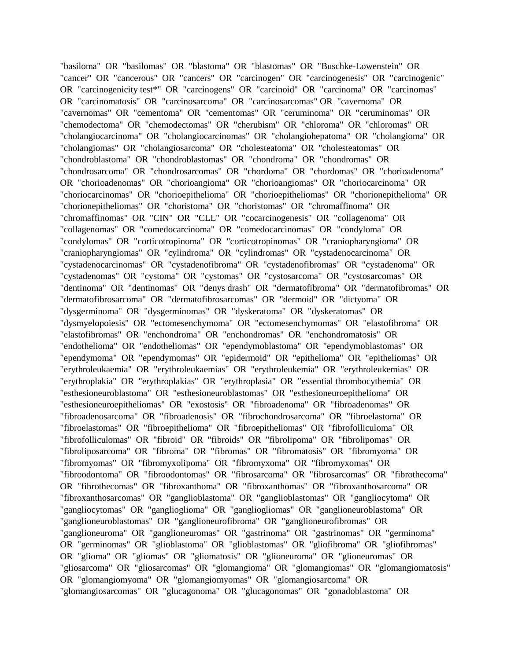"basiloma" OR "basilomas" OR "blastoma" OR "blastomas" OR "Buschke-Lowenstein" OR "cancer" OR "cancerous" OR "cancers" OR "carcinogen" OR "carcinogenesis" OR "carcinogenic" OR "carcinogenicity test\*" OR "carcinogens" OR "carcinoid" OR "carcinoma" OR "carcinomas" OR "carcinomatosis" OR "carcinosarcoma" OR "carcinosarcomas" OR "cavernoma" OR "cavernomas" OR "cementoma" OR "cementomas" OR "ceruminoma" OR "ceruminomas" OR "chemodectoma" OR "chemodectomas" OR "cherubism" OR "chloroma" OR "chloromas" OR "cholangiocarcinoma" OR "cholangiocarcinomas" OR "cholangiohepatoma" OR "cholangioma" OR "cholangiomas" OR "cholangiosarcoma" OR "cholesteatoma" OR "cholesteatomas" OR "chondroblastoma" OR "chondroblastomas" OR "chondroma" OR "chondromas" OR "chondrosarcoma" OR "chondrosarcomas" OR "chordoma" OR "chordomas" OR "chorioadenoma" OR "chorioadenomas" OR "chorioangioma" OR "chorioangiomas" OR "choriocarcinoma" OR "choriocarcinomas" OR "chorioepithelioma" OR "chorioepitheliomas" OR "chorionepithelioma" OR "chorionepitheliomas" OR "choristoma" OR "choristomas" OR "chromaffinoma" OR "chromaffinomas" OR "CIN" OR "CLL" OR "cocarcinogenesis" OR "collagenoma" OR "collagenomas" OR "comedocarcinoma" OR "comedocarcinomas" OR "condyloma" OR "condylomas" OR "corticotropinoma" OR "corticotropinomas" OR "craniopharyngioma" OR "craniopharyngiomas" OR "cylindroma" OR "cylindromas" OR "cystadenocarcinoma" OR "cystadenocarcinomas" OR "cystadenofibroma" OR "cystadenofibromas" OR "cystadenoma" OR "cystadenomas" OR "cystoma" OR "cystomas" OR "cystosarcoma" OR "cystosarcomas" OR "dentinoma" OR "dentinomas" OR "denys drash" OR "dermatofibroma" OR "dermatofibromas" OR "dermatofibrosarcoma" OR "dermatofibrosarcomas" OR "dermoid" OR "dictyoma" OR "dysgerminoma" OR "dysgerminomas" OR "dyskeratoma" OR "dyskeratomas" OR "dysmyelopoiesis" OR "ectomesenchymoma" OR "ectomesenchymomas" OR "elastofibroma" OR "elastofibromas" OR "enchondroma" OR "enchondromas" OR "enchondromatosis" OR "endothelioma" OR "endotheliomas" OR "ependymoblastoma" OR "ependymoblastomas" OR "ependymoma" OR "ependymomas" OR "epidermoid" OR "epithelioma" OR "epitheliomas" OR "erythroleukaemia" OR "erythroleukaemias" OR "erythroleukemia" OR "erythroleukemias" OR "erythroplakia" OR "erythroplakias" OR "erythroplasia" OR "essential thrombocythemia" OR "esthesioneuroblastoma" OR "esthesioneuroblastomas" OR "esthesioneuroepithelioma" OR "esthesioneuroepitheliomas" OR "exostosis" OR "fibroadenoma" OR "fibroadenomas" OR "fibroadenosarcoma" OR "fibroadenosis" OR "fibrochondrosarcoma" OR "fibroelastoma" OR "fibroelastomas" OR "fibroepithelioma" OR "fibroepitheliomas" OR "fibrofolliculoma" OR "fibrofolliculomas" OR "fibroid" OR "fibroids" OR "fibrolipoma" OR "fibrolipomas" OR "fibroliposarcoma" OR "fibroma" OR "fibromas" OR "fibromatosis" OR "fibromyoma" OR "fibromyomas" OR "fibromyxolipoma" OR "fibromyxoma" OR "fibromyxomas" OR "fibroodontoma" OR "fibroodontomas" OR "fibrosarcoma" OR "fibrosarcomas" OR "fibrothecoma" OR "fibrothecomas" OR "fibroxanthoma" OR "fibroxanthomas" OR "fibroxanthosarcoma" OR "fibroxanthosarcomas" OR "ganglioblastoma" OR "ganglioblastomas" OR "gangliocytoma" OR "gangliocytomas" OR "ganglioglioma" OR "gangliogliomas" OR "ganglioneuroblastoma" OR "ganglioneuroblastomas" OR "ganglioneurofibroma" OR "ganglioneurofibromas" OR "ganglioneuroma" OR "ganglioneuromas" OR "gastrinoma" OR "gastrinomas" OR "germinoma" OR "germinomas" OR "glioblastoma" OR "glioblastomas" OR "gliofibroma" OR "gliofibromas" OR "glioma" OR "gliomas" OR "gliomatosis" OR "glioneuroma" OR "glioneuromas" OR "gliosarcoma" OR "gliosarcomas" OR "glomangioma" OR "glomangiomas" OR "glomangiomatosis" OR "glomangiomyoma" OR "glomangiomyomas" OR "glomangiosarcoma" OR "glomangiosarcomas" OR "glucagonoma" OR "glucagonomas" OR "gonadoblastoma" OR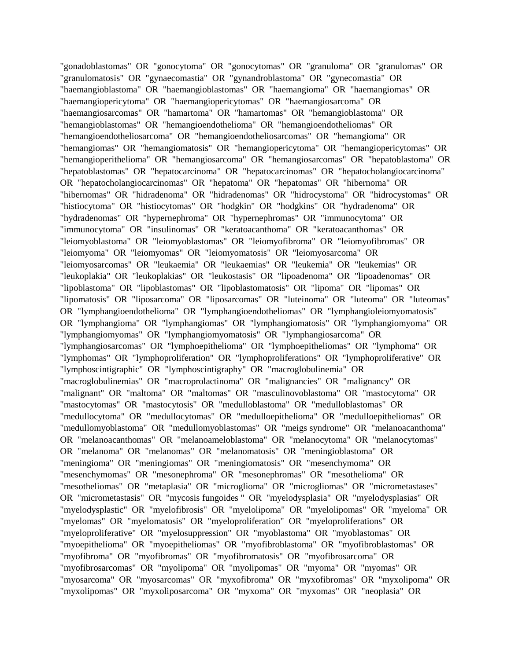"gonadoblastomas" OR "gonocytoma" OR "gonocytomas" OR "granuloma" OR "granulomas" OR "granulomatosis" OR "gynaecomastia" OR "gynandroblastoma" OR "gynecomastia" OR "haemangioblastoma" OR "haemangioblastomas" OR "haemangioma" OR "haemangiomas" OR "haemangiopericytoma" OR "haemangiopericytomas" OR "haemangiosarcoma" OR "haemangiosarcomas" OR "hamartoma" OR "hamartomas" OR "hemangioblastoma" OR "hemangioblastomas" OR "hemangioendothelioma" OR "hemangioendotheliomas" OR "hemangioendotheliosarcoma" OR "hemangioendotheliosarcomas" OR "hemangioma" OR "hemangiomas" OR "hemangiomatosis" OR "hemangiopericytoma" OR "hemangiopericytomas" OR "hemangioperithelioma" OR "hemangiosarcoma" OR "hemangiosarcomas" OR "hepatoblastoma" OR "hepatoblastomas" OR "hepatocarcinoma" OR "hepatocarcinomas" OR "hepatocholangiocarcinoma" OR "hepatocholangiocarcinomas" OR "hepatoma" OR "hepatomas" OR "hibernoma" OR "hibernomas" OR "hidradenoma" OR "hidradenomas" OR "hidrocystoma" OR "hidrocystomas" OR "histiocytoma" OR "histiocytomas" OR "hodgkin" OR "hodgkins" OR "hydradenoma" OR "hydradenomas" OR "hypernephroma" OR "hypernephromas" OR "immunocytoma" OR "immunocytoma" OR "insulinomas" OR "keratoacanthoma" OR "keratoacanthomas" OR "leiomyoblastoma" OR "leiomyoblastomas" OR "leiomyofibroma" OR "leiomyofibromas" OR "leiomyoma" OR "leiomyomas" OR "leiomyomatosis" OR "leiomyosarcoma" OR "leiomyosarcomas" OR "leukaemia" OR "leukaemias" OR "leukemia" OR "leukemias" OR "leukoplakia" OR "leukoplakias" OR "leukostasis" OR "lipoadenoma" OR "lipoadenomas" OR "lipoblastoma" OR "lipoblastomas" OR "lipoblastomatosis" OR "lipoma" OR "lipomas" OR "lipomatosis" OR "liposarcoma" OR "liposarcomas" OR "luteinoma" OR "luteoma" OR "luteomas" OR "lymphangioendothelioma" OR "lymphangioendotheliomas" OR "lymphangioleiomyomatosis" OR "lymphangioma" OR "lymphangiomas" OR "lymphangiomatosis" OR "lymphangiomyoma" OR "lymphangiomyomas" OR "lymphangiomyomatosis" OR "lymphangiosarcoma" OR "lymphangiosarcomas" OR "lymphoepithelioma" OR "lymphoepitheliomas" OR "lymphoma" OR "lymphomas" OR "lymphoproliferation" OR "lymphoproliferations" OR "lymphoproliferative" OR "lymphoscintigraphic" OR "lymphoscintigraphy" OR "macroglobulinemia" OR "macroglobulinemias" OR "macroprolactinoma" OR "malignancies" OR "malignancy" OR "malignant" OR "maltoma" OR "maltomas" OR "masculinovoblastoma" OR "mastocytoma" OR "mastocytomas" OR "mastocytosis" OR "medulloblastoma" OR "medulloblastomas" OR "medullocytoma" OR "medullocytomas" OR "medulloepithelioma" OR "medulloepitheliomas" OR "medullomyoblastoma" OR "medullomyoblastomas" OR "meigs syndrome" OR "melanoacanthoma" OR "melanoacanthomas" OR "melanoameloblastoma" OR "melanocytoma" OR "melanocytomas" OR "melanoma" OR "melanomas" OR "melanomatosis" OR "meningioblastoma" OR "meningioma" OR "meningiomas" OR "meningiomatosis" OR "mesenchymoma" OR "mesenchymomas" OR "mesonephroma" OR "mesonephromas" OR "mesothelioma" OR "mesotheliomas" OR "metaplasia" OR "microglioma" OR "microgliomas" OR "micrometastases" OR "micrometastasis" OR "mycosis fungoides " OR "myelodysplasia" OR "myelodysplasias" OR "myelodysplastic" OR "myelofibrosis" OR "myelolipoma" OR "myelolipomas" OR "myeloma" OR "myelomas" OR "myelomatosis" OR "myeloproliferation" OR "myeloproliferations" OR "myeloproliferative" OR "myelosuppression" OR "myoblastoma" OR "myoblastomas" OR "myoepithelioma" OR "myoepitheliomas" OR "myofibroblastoma" OR "myofibroblastomas" OR "myofibroma" OR "myofibromas" OR "myofibromatosis" OR "myofibrosarcoma" OR "myofibrosarcomas" OR "myolipoma" OR "myolipomas" OR "myoma" OR "myomas" OR "myosarcoma" OR "myosarcomas" OR "myxofibroma" OR "myxofibromas" OR "myxolipoma" OR "myxolipomas" OR "myxoliposarcoma" OR "myxoma" OR "myxomas" OR "neoplasia" OR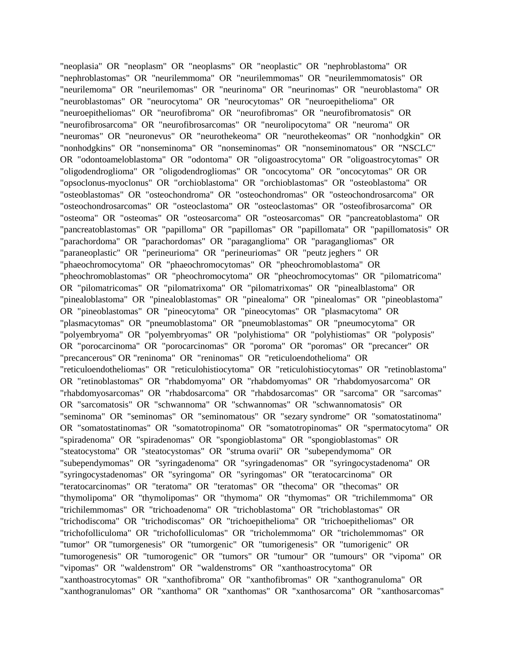"neoplasia" OR "neoplasm" OR "neoplasms" OR "neoplastic" OR "nephroblastoma" OR "nephroblastomas" OR "neurilemmoma" OR "neurilemmomas" OR "neurilemmomatosis" OR "neurilemoma" OR "neurilemomas" OR "neurinoma" OR "neurinomas" OR "neuroblastoma" OR "neuroblastomas" OR "neurocytoma" OR "neurocytomas" OR "neuroepithelioma" OR "neuroepitheliomas" OR "neurofibroma" OR "neurofibromas" OR "neurofibromatosis" OR "neurofibrosarcoma" OR "neurofibrosarcomas" OR "neurolipocytoma" OR "neuroma" OR "neuromas" OR "neuronevus" OR "neurothekeoma" OR "neurothekeomas" OR "nonhodgkin" OR "nonhodgkins" OR "nonseminoma" OR "nonseminomas" OR "nonseminomatous" OR "NSCLC" OR "odontoameloblastoma" OR "odontoma" OR "oligoastrocytoma" OR "oligoastrocytomas" OR "oligodendroglioma" OR "oligodendrogliomas" OR "oncocytoma" OR "oncocytomas" OR OR "opsoclonus-myoclonus" OR "orchioblastoma" OR "orchioblastomas" OR "osteoblastoma" OR "osteoblastomas" OR "osteochondroma" OR "osteochondromas" OR "osteochondrosarcoma" OR "osteochondrosarcomas" OR "osteoclastoma" OR "osteoclastomas" OR "osteofibrosarcoma" OR "osteoma" OR "osteomas" OR "osteosarcoma" OR "osteosarcomas" OR "pancreatoblastoma" OR "pancreatoblastomas" OR "papilloma" OR "papillomas" OR "papillomata" OR "papillomatosis" OR "parachordoma" OR "parachordomas" OR "paraganglioma" OR "paragangliomas" OR "paraneoplastic" OR "perineurioma" OR "perineuriomas" OR "peutz jeghers " OR "phaeochromocytoma" OR "phaeochromocytomas" OR "pheochromoblastoma" OR "pheochromoblastomas" OR "pheochromocytoma" OR "pheochromocytomas" OR "pilomatricoma" OR "pilomatricomas" OR "pilomatrixoma" OR "pilomatrixomas" OR "pinealblastoma" OR "pinealoblastoma" OR "pinealoblastomas" OR "pinealoma" OR "pinealomas" OR "pineoblastoma" OR "pineoblastomas" OR "pineocytoma" OR "pineocytomas" OR "plasmacytoma" OR "plasmacytomas" OR "pneumoblastoma" OR "pneumoblastomas" OR "pneumocytoma" OR "polyembryoma" OR "polyembryomas" OR "polyhistioma" OR "polyhistiomas" OR "polyposis" OR "porocarcinoma" OR "porocarcinomas" OR "poroma" OR "poromas" OR "precancer" OR "precancerous" OR "reninoma" OR "reninomas" OR "reticuloendothelioma" OR "reticuloendotheliomas" OR "reticulohistiocytoma" OR "reticulohistiocytomas" OR "retinoblastoma" OR "retinoblastomas" OR "rhabdomyoma" OR "rhabdomyomas" OR "rhabdomyosarcoma" OR "rhabdomyosarcomas" OR "rhabdosarcoma" OR "rhabdosarcomas" OR "sarcoma" OR "sarcomas" OR "sarcomatosis" OR "schwannoma" OR "schwannomas" OR "schwannomatosis" OR "seminoma" OR "seminomas" OR "seminomatous" OR "sezary syndrome" OR "somatostatinoma" OR "somatostatinomas" OR "somatotropinoma" OR "somatotropinomas" OR "spermatocytoma" OR "spiradenoma" OR "spiradenomas" OR "spongioblastoma" OR "spongioblastomas" OR "steatocystoma" OR "steatocystomas" OR "struma ovarii" OR "subependymoma" OR "subependymomas" OR "syringadenoma" OR "syringadenomas" OR "syringocystadenoma" OR "syringocystadenomas" OR "syringoma" OR "syringomas" OR "teratocarcinoma" OR "teratocarcinomas" OR "teratoma" OR "teratomas" OR "thecoma" OR "thecomas" OR "thymolipoma" OR "thymolipomas" OR "thymoma" OR "thymomas" OR "trichilemmoma" OR "trichilemmomas" OR "trichoadenoma" OR "trichoblastoma" OR "trichoblastomas" OR "trichodiscoma" OR "trichodiscomas" OR "trichoepithelioma" OR "trichoepitheliomas" OR "trichofolliculoma" OR "trichofolliculomas" OR "tricholemmoma" OR "tricholemmomas" OR "tumor" OR "tumorgenesis" OR "tumorgenic" OR "tumorigenesis" OR "tumorigenic" OR "tumorogenesis" OR "tumorogenic" OR "tumors" OR "tumour" OR "tumours" OR "vipoma" OR "vipomas" OR "waldenstrom" OR "waldenstroms" OR "xanthoastrocytoma" OR "xanthoastrocytomas" OR "xanthofibroma" OR "xanthofibromas" OR "xanthogranuloma" OR "xanthogranulomas" OR "xanthoma" OR "xanthomas" OR "xanthosarcoma" OR "xanthosarcomas"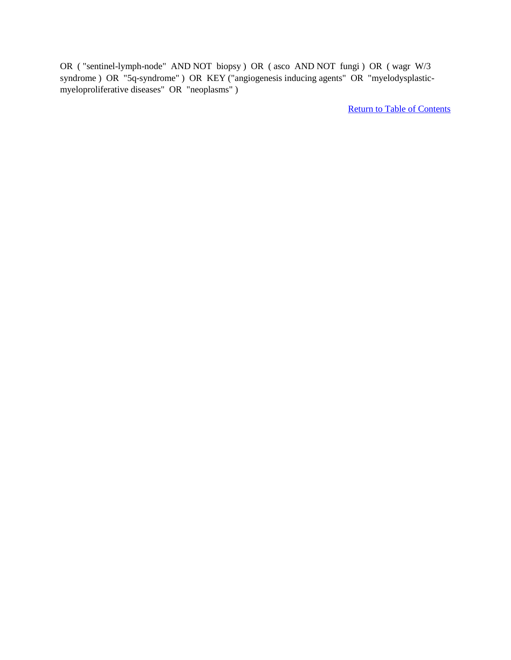OR ( "sentinel-lymph-node" AND NOT biopsy ) OR ( asco AND NOT fungi ) OR ( wagr W/3 syndrome ) OR "5q-syndrome" ) OR KEY ("angiogenesis inducing agents" OR "myelodysplasticmyeloproliferative diseases" OR "neoplasms" )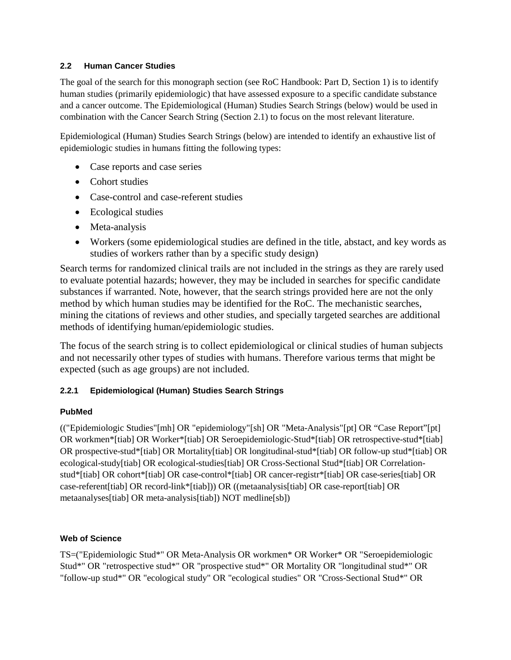#### **2.2 Human Cancer Studies**

The goal of the search for this monograph section (see RoC Handbook: Part D, Section 1) is to identify human studies (primarily epidemiologic) that have assessed exposure to a specific candidate substance and a cancer outcome. The Epidemiological (Human) Studies Search Strings (below) would be used in combination with the Cancer Search String (Section 2.1) to focus on the most relevant literature.

Epidemiological (Human) Studies Search Strings (below) are intended to identify an exhaustive list of epidemiologic studies in humans fitting the following types:

- Case reports and case series
- Cohort studies
- Case-control and case-referent studies
- Ecological studies
- Meta-analysis
- Workers (some epidemiological studies are defined in the title, abstact, and key words as studies of workers rather than by a specific study design)

Search terms for randomized clinical trails are not included in the strings as they are rarely used to evaluate potential hazards; however, they may be included in searches for specific candidate substances if warranted. Note, however, that the search strings provided here are not the only method by which human studies may be identified for the RoC. The mechanistic searches, mining the citations of reviews and other studies, and specially targeted searches are additional methods of identifying human/epidemiologic studies.

The focus of the search string is to collect epidemiological or clinical studies of human subjects and not necessarily other types of studies with humans. Therefore various terms that might be expected (such as age groups) are not included.

# **2.2.1 Epidemiological (Human) Studies Search Strings**

# **PubMed**

(("Epidemiologic Studies"[mh] OR "epidemiology"[sh] OR "Meta-Analysis"[pt] OR "Case Report"[pt] OR workmen\*[tiab] OR Worker\*[tiab] OR Seroepidemiologic-Stud\*[tiab] OR retrospective-stud\*[tiab] OR prospective-stud\*[tiab] OR Mortality[tiab] OR longitudinal-stud\*[tiab] OR follow-up stud\*[tiab] OR ecological-study[tiab] OR ecological-studies[tiab] OR Cross-Sectional Stud\*[tiab] OR Correlationstud\*[tiab] OR cohort\*[tiab] OR case-control\*[tiab] OR cancer-registr\*[tiab] OR case-series[tiab] OR case-referent[tiab] OR record-link\*[tiab])) OR ((metaanalysis[tiab] OR case-report[tiab] OR metaanalyses[tiab] OR meta-analysis[tiab]) NOT medline[sb])

# **Web of Science**

TS=("Epidemiologic Stud\*" OR Meta-Analysis OR workmen\* OR Worker\* OR "Seroepidemiologic Stud\*" OR "retrospective stud\*" OR "prospective stud\*" OR Mortality OR "longitudinal stud\*" OR "follow-up stud\*" OR "ecological study" OR "ecological studies" OR "Cross-Sectional Stud\*" OR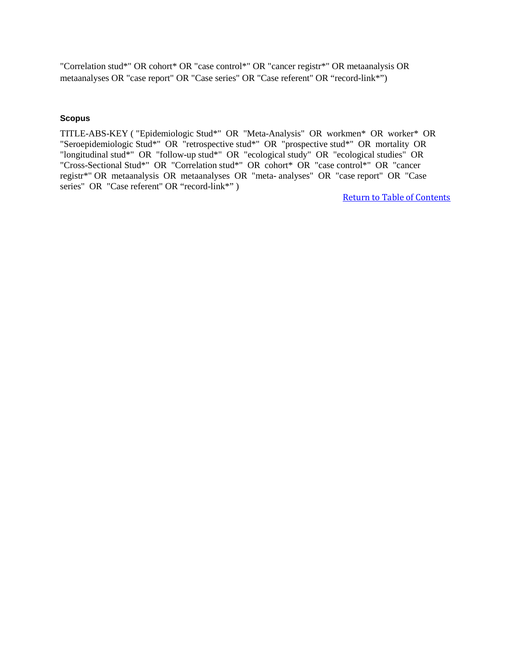"Correlation stud\*" OR cohort\* OR "case control\*" OR "cancer registr\*" OR metaanalysis OR metaanalyses OR "case report" OR "Case series" OR "Case referent" OR "record-link\*")

#### **Scopus**

TITLE-ABS-KEY ( "Epidemiologic Stud\*" OR "Meta-Analysis" OR workmen\* OR worker\* OR "Seroepidemiologic Stud\*" OR "retrospective stud\*" OR "prospective stud\*" OR mortality OR "longitudinal stud\*" OR "follow-up stud\*" OR "ecological study" OR "ecological studies" OR "Cross-Sectional Stud\*" OR "Correlation stud\*" OR cohort\* OR "case control\*" OR "cancer registr\*" OR metaanalysis OR metaanalyses OR "meta- analyses" OR "case report" OR "Case series" OR "Case referent" OR "record-link\*")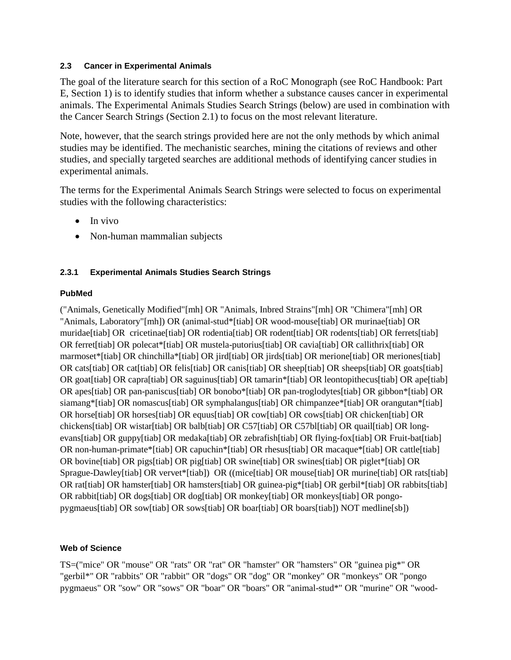#### **2.3 Cancer in Experimental Animals**

The goal of the literature search for this section of a RoC Monograph (see RoC Handbook: Part E, Section 1) is to identify studies that inform whether a substance causes cancer in experimental animals. The Experimental Animals Studies Search Strings (below) are used in combination with the Cancer Search Strings (Section 2.1) to focus on the most relevant literature.

Note, however, that the search strings provided here are not the only methods by which animal studies may be identified. The mechanistic searches, mining the citations of reviews and other studies, and specially targeted searches are additional methods of identifying cancer studies in experimental animals.

The terms for the Experimental Animals Search Strings were selected to focus on experimental studies with the following characteristics:

- In vivo
- Non-human mammalian subjects

# **2.3.1 Experimental Animals Studies Search Strings**

# **PubMed**

("Animals, Genetically Modified"[mh] OR "Animals, Inbred Strains"[mh] OR "Chimera"[mh] OR "Animals, Laboratory"[mh]) OR (animal-stud\*[tiab] OR wood-mouse[tiab] OR murinae[tiab] OR muridae[tiab] OR cricetinae[tiab] OR rodentia[tiab] OR rodent[tiab] OR rodents[tiab] OR ferrets[tiab] OR ferret[tiab] OR polecat\*[tiab] OR mustela-putorius[tiab] OR cavia[tiab] OR callithrix[tiab] OR marmoset\*[tiab] OR chinchilla\*[tiab] OR jird[tiab] OR jirds[tiab] OR merione[tiab] OR meriones[tiab] OR cats[tiab] OR cat[tiab] OR felis[tiab] OR canis[tiab] OR sheep[tiab] OR sheeps[tiab] OR goats[tiab] OR goat[tiab] OR capra[tiab] OR saguinus[tiab] OR tamarin\*[tiab] OR leontopithecus[tiab] OR ape[tiab] OR apes[tiab] OR pan-paniscus[tiab] OR bonobo\*[tiab] OR pan-troglodytes[tiab] OR gibbon\*[tiab] OR siamang\*[tiab] OR nomascus[tiab] OR symphalangus[tiab] OR chimpanzee\*[tiab] OR orangutan\*[tiab] OR horse[tiab] OR horses[tiab] OR equus[tiab] OR cow[tiab] OR cows[tiab] OR chicken[tiab] OR chickens[tiab] OR wistar[tiab] OR balb[tiab] OR C57[tiab] OR C57bl[tiab] OR quail[tiab] OR longevans[tiab] OR guppy[tiab] OR medaka[tiab] OR zebrafish[tiab] OR flying-fox[tiab] OR Fruit-bat[tiab] OR non-human-primate\*[tiab] OR capuchin\*[tiab] OR rhesus[tiab] OR macaque\*[tiab] OR cattle[tiab] OR bovine[tiab] OR pigs[tiab] OR pig[tiab] OR swine[tiab] OR swines[tiab] OR piglet\*[tiab] OR Sprague-Dawley[tiab] OR vervet\*[tiab]) OR ((mice[tiab] OR mouse[tiab] OR murine[tiab] OR rats[tiab] OR rat[tiab] OR hamster[tiab] OR hamsters[tiab] OR guinea-pig\*[tiab] OR gerbil\*[tiab] OR rabbits[tiab] OR rabbit[tiab] OR dogs[tiab] OR dog[tiab] OR monkey[tiab] OR monkeys[tiab] OR pongopygmaeus[tiab] OR sow[tiab] OR sows[tiab] OR boar[tiab] OR boars[tiab]) NOT medline[sb])

# **Web of Science**

TS=("mice" OR "mouse" OR "rats" OR "rat" OR "hamster" OR "hamsters" OR "guinea pig\*" OR "gerbil\*" OR "rabbits" OR "rabbit" OR "dogs" OR "dog" OR "monkey" OR "monkeys" OR "pongo pygmaeus" OR "sow" OR "sows" OR "boar" OR "boars" OR "animal-stud\*" OR "murine" OR "wood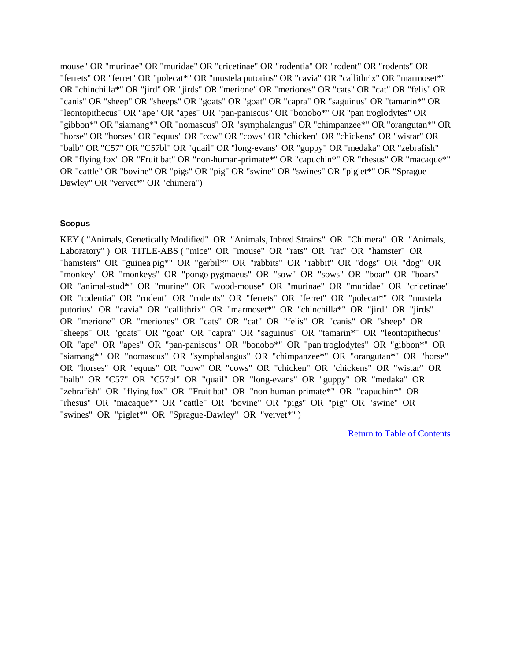mouse" OR "murinae" OR "muridae" OR "cricetinae" OR "rodentia" OR "rodent" OR "rodents" OR "ferrets" OR "ferret" OR "polecat\*" OR "mustela putorius" OR "cavia" OR "callithrix" OR "marmoset\*" OR "chinchilla\*" OR "jird" OR "jirds" OR "merione" OR "meriones" OR "cats" OR "cat" OR "felis" OR "canis" OR "sheep" OR "sheeps" OR "goats" OR "goat" OR "capra" OR "saguinus" OR "tamarin\*" OR "leontopithecus" OR "ape" OR "apes" OR "pan-paniscus" OR "bonobo\*" OR "pan troglodytes" OR "gibbon\*" OR "siamang\*" OR "nomascus" OR "symphalangus" OR "chimpanzee\*" OR "orangutan\*" OR "horse" OR "horses" OR "equus" OR "cow" OR "cows" OR "chicken" OR "chickens" OR "wistar" OR "balb" OR "C57" OR "C57bl" OR "quail" OR "long-evans" OR "guppy" OR "medaka" OR "zebrafish" OR "flying fox" OR "Fruit bat" OR "non-human-primate\*" OR "capuchin\*" OR "rhesus" OR "macaque\*" OR "cattle" OR "bovine" OR "pigs" OR "pig" OR "swine" OR "swines" OR "piglet\*" OR "Sprague-Dawley" OR "vervet\*" OR "chimera")

#### **Scopus**

KEY ( "Animals, Genetically Modified" OR "Animals, Inbred Strains" OR "Chimera" OR "Animals, Laboratory" ) OR TITLE-ABS ("mice" OR "mouse" OR "rats" OR "rat" OR "hamster" OR "hamsters" OR "guinea pig\*" OR "gerbil\*" OR "rabbits" OR "rabbit" OR "dogs" OR "dog" OR "monkey" OR "monkeys" OR "pongo pygmaeus" OR "sow" OR "sows" OR "boar" OR "boars" OR "animal-stud\*" OR "murine" OR "wood-mouse" OR "murinae" OR "muridae" OR "cricetinae" OR "rodentia" OR "rodent" OR "rodents" OR "ferrets" OR "ferret" OR "polecat\*" OR "mustela putorius" OR "cavia" OR "callithrix" OR "marmoset\*" OR "chinchilla\*" OR "jird" OR "jirds" OR "merione" OR "meriones" OR "cats" OR "cat" OR "felis" OR "canis" OR "sheep" OR "sheeps" OR "goats" OR "goat" OR "capra" OR "saguinus" OR "tamarin\*" OR "leontopithecus" OR "ape" OR "apes" OR "pan-paniscus" OR "bonobo\*" OR "pan troglodytes" OR "gibbon\*" OR "siamang\*" OR "nomascus" OR "symphalangus" OR "chimpanzee\*" OR "orangutan\*" OR "horse" OR "horses" OR "equus" OR "cow" OR "cows" OR "chicken" OR "chickens" OR "wistar" OR "balb" OR "C57" OR "C57bl" OR "quail" OR "long-evans" OR "guppy" OR "medaka" OR "zebrafish" OR "flying fox" OR "Fruit bat" OR "non-human-primate\*" OR "capuchin\*" OR "rhesus" OR "macaque\*" OR "cattle" OR "bovine" OR "pigs" OR "pig" OR "swine" OR "swines" OR "piglet\*" OR "Sprague-Dawley" OR "vervet\*")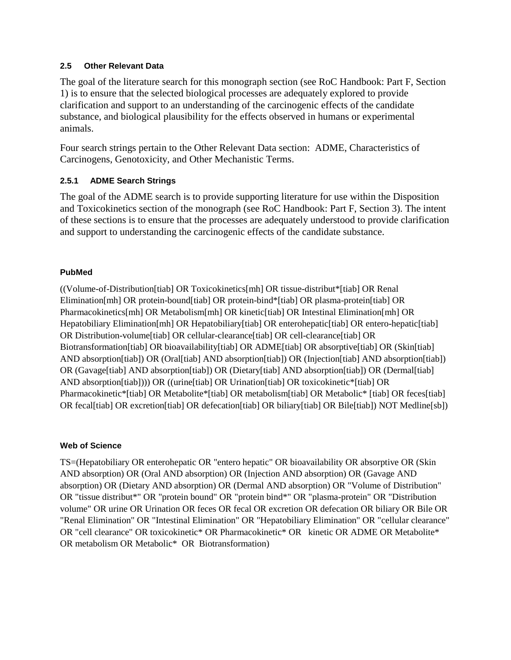#### **2.5 Other Relevant Data**

The goal of the literature search for this monograph section (see RoC Handbook: Part F, Section 1) is to ensure that the selected biological processes are adequately explored to provide clarification and support to an understanding of the carcinogenic effects of the candidate substance, and biological plausibility for the effects observed in humans or experimental animals.

Four search strings pertain to the Other Relevant Data section: ADME, Characteristics of Carcinogens, Genotoxicity, and Other Mechanistic Terms.

# **2.5.1 ADME Search Strings**

The goal of the ADME search is to provide supporting literature for use within the Disposition and Toxicokinetics section of the monograph (see RoC Handbook: Part F, Section 3). The intent of these sections is to ensure that the processes are adequately understood to provide clarification and support to understanding the carcinogenic effects of the candidate substance.

# **PubMed**

((Volume-of-Distribution[tiab] OR Toxicokinetics[mh] OR tissue-distribut\*[tiab] OR Renal Elimination[mh] OR protein-bound[tiab] OR protein-bind\*[tiab] OR plasma-protein[tiab] OR Pharmacokinetics[mh] OR Metabolism[mh] OR kinetic[tiab] OR Intestinal Elimination[mh] OR Hepatobiliary Elimination[mh] OR Hepatobiliary[tiab] OR enterohepatic[tiab] OR entero-hepatic[tiab] OR Distribution-volume[tiab] OR cellular-clearance[tiab] OR cell-clearance[tiab] OR Biotransformation[tiab] OR bioavailability[tiab] OR ADME[tiab] OR absorptive[tiab] OR (Skin[tiab] AND absorption[tiab]) OR (Oral[tiab] AND absorption[tiab]) OR (Injection[tiab] AND absorption[tiab]) OR (Gavage[tiab] AND absorption[tiab]) OR (Dietary[tiab] AND absorption[tiab]) OR (Dermal[tiab] AND absorption[tiab]))) OR ((urine[tiab] OR Urination[tiab] OR toxicokinetic\*[tiab] OR Pharmacokinetic\*[tiab] OR Metabolite\*[tiab] OR metabolism[tiab] OR Metabolic\* [tiab] OR feces[tiab] OR fecal[tiab] OR excretion[tiab] OR defecation[tiab] OR biliary[tiab] OR Bile[tiab]) NOT Medline[sb])

# **Web of Science**

TS=(Hepatobiliary OR enterohepatic OR "entero hepatic" OR bioavailability OR absorptive OR (Skin AND absorption) OR (Oral AND absorption) OR (Injection AND absorption) OR (Gavage AND absorption) OR (Dietary AND absorption) OR (Dermal AND absorption) OR "Volume of Distribution" OR "tissue distribut\*" OR "protein bound" OR "protein bind\*" OR "plasma-protein" OR "Distribution volume" OR urine OR Urination OR feces OR fecal OR excretion OR defecation OR biliary OR Bile OR "Renal Elimination" OR "Intestinal Elimination" OR "Hepatobiliary Elimination" OR "cellular clearance" OR "cell clearance" OR toxicokinetic\* OR Pharmacokinetic\* OR kinetic OR ADME OR Metabolite\* OR metabolism OR Metabolic\* OR Biotransformation)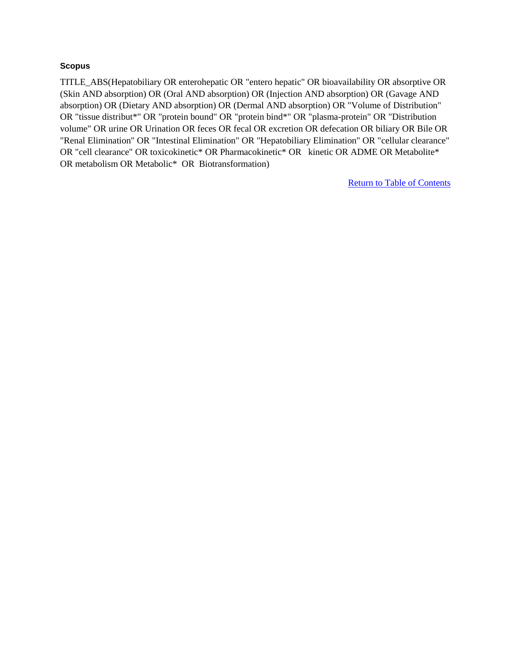#### **Scopus**

TITLE\_ABS(Hepatobiliary OR enterohepatic OR "entero hepatic" OR bioavailability OR absorptive OR (Skin AND absorption) OR (Oral AND absorption) OR (Injection AND absorption) OR (Gavage AND absorption) OR (Dietary AND absorption) OR (Dermal AND absorption) OR "Volume of Distribution" OR "tissue distribut\*" OR "protein bound" OR "protein bind\*" OR "plasma-protein" OR "Distribution volume" OR urine OR Urination OR feces OR fecal OR excretion OR defecation OR biliary OR Bile OR "Renal Elimination" OR "Intestinal Elimination" OR "Hepatobiliary Elimination" OR "cellular clearance" OR "cell clearance" OR toxicokinetic\* OR Pharmacokinetic\* OR kinetic OR ADME OR Metabolite\* OR metabolism OR Metabolic\* OR Biotransformation)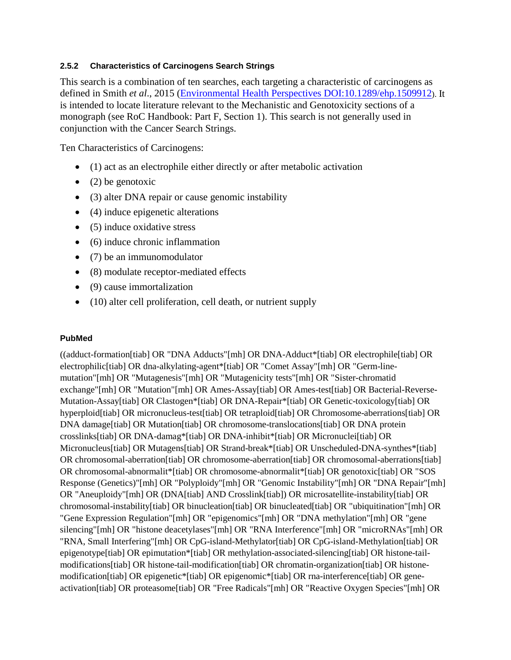#### **2.5.2 Characteristics of Carcinogens Search Strings**

This search is a combination of ten searches, each targeting a characteristic of carcinogens as defined in Smith *et al*., 2015 [\(Environmental Health Perspectives DOI:10.1289/ehp.1509912\)](http://ehp.niehs.nih.gov/15-09912/). It is intended to locate literature relevant to the Mechanistic and Genotoxicity sections of a monograph (see RoC Handbook: Part F, Section 1). This search is not generally used in conjunction with the Cancer Search Strings.

Ten Characteristics of Carcinogens:

- (1) act as an electrophile either directly or after metabolic activation
- $\bullet$  (2) be genotoxic
- (3) alter DNA repair or cause genomic instability
- (4) induce epigenetic alterations
- (5) induce oxidative stress
- (6) induce chronic inflammation
- (7) be an immunomodulator
- (8) modulate receptor-mediated effects
- (9) cause immortalization
- (10) alter cell proliferation, cell death, or nutrient supply

#### **PubMed**

((adduct-formation[tiab] OR "DNA Adducts"[mh] OR DNA-Adduct\*[tiab] OR electrophile[tiab] OR electrophilic[tiab] OR dna-alkylating-agent\*[tiab] OR "Comet Assay"[mh] OR "Germ-linemutation"[mh] OR "Mutagenesis"[mh] OR "Mutagenicity tests"[mh] OR "Sister-chromatid exchange"[mh] OR "Mutation"[mh] OR Ames-Assay[tiab] OR Ames-test[tiab] OR Bacterial-Reverse-Mutation-Assay[tiab] OR Clastogen\*[tiab] OR DNA-Repair\*[tiab] OR Genetic-toxicology[tiab] OR hyperploid[tiab] OR micronucleus-test[tiab] OR tetraploid[tiab] OR Chromosome-aberrations[tiab] OR DNA damage[tiab] OR Mutation[tiab] OR chromosome-translocations[tiab] OR DNA protein crosslinks[tiab] OR DNA-damag\*[tiab] OR DNA-inhibit\*[tiab] OR Micronuclei[tiab] OR Micronucleus[tiab] OR Mutagens[tiab] OR Strand-break\*[tiab] OR Unscheduled-DNA-synthes\*[tiab] OR chromosomal-aberration[tiab] OR chromosome-aberration[tiab] OR chromosomal-aberrations[tiab] OR chromosomal-abnormalit\*[tiab] OR chromosome-abnormalit\*[tiab] OR genotoxic[tiab] OR "SOS Response (Genetics)"[mh] OR "Polyploidy"[mh] OR "Genomic Instability"[mh] OR "DNA Repair"[mh] OR "Aneuploidy"[mh] OR (DNA[tiab] AND Crosslink[tiab]) OR microsatellite-instability[tiab] OR chromosomal-instability[tiab] OR binucleation[tiab] OR binucleated[tiab] OR "ubiquitination"[mh] OR "Gene Expression Regulation"[mh] OR "epigenomics"[mh] OR "DNA methylation"[mh] OR "gene silencing"[mh] OR "histone deacetylases"[mh] OR "RNA Interference"[mh] OR "microRNAs"[mh] OR "RNA, Small Interfering"[mh] OR CpG-island-Methylator[tiab] OR CpG-island-Methylation[tiab] OR epigenotype[tiab] OR epimutation\*[tiab] OR methylation-associated-silencing[tiab] OR histone-tailmodifications[tiab] OR histone-tail-modification[tiab] OR chromatin-organization[tiab] OR histonemodification[tiab] OR epigenetic\*[tiab] OR epigenomic\*[tiab] OR rna-interference[tiab] OR geneactivation[tiab] OR proteasome[tiab] OR "Free Radicals"[mh] OR "Reactive Oxygen Species"[mh] OR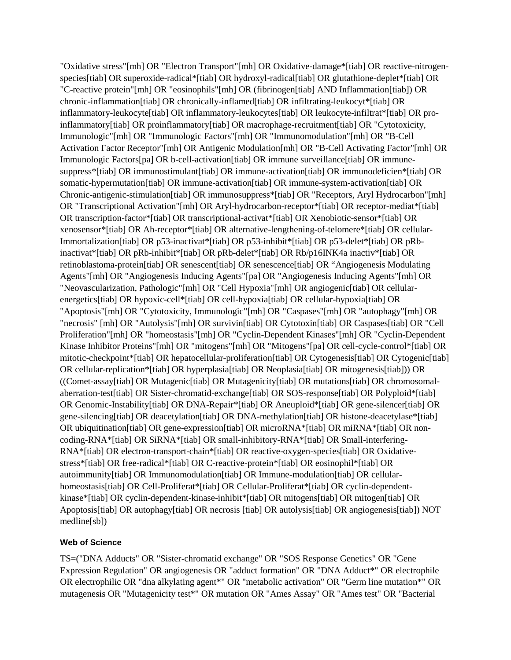"Oxidative stress"[mh] OR "Electron Transport"[mh] OR Oxidative-damage\*[tiab] OR reactive-nitrogenspecies[tiab] OR superoxide-radical\*[tiab] OR hydroxyl-radical[tiab] OR glutathione-deplet\*[tiab] OR "C-reactive protein"[mh] OR "eosinophils"[mh] OR (fibrinogen[tiab] AND Inflammation[tiab]) OR chronic-inflammation[tiab] OR chronically-inflamed[tiab] OR infiltrating-leukocyt\*[tiab] OR inflammatory-leukocyte[tiab] OR inflammatory-leukocytes[tiab] OR leukocyte-infiltrat\*[tiab] OR proinflammatory[tiab] OR proinflammatory[tiab] OR macrophage-recruitment[tiab] OR "Cytotoxicity, Immunologic"[mh] OR "Immunologic Factors"[mh] OR "Immunomodulation"[mh] OR "B-Cell Activation Factor Receptor"[mh] OR Antigenic Modulation[mh] OR "B-Cell Activating Factor"[mh] OR Immunologic Factors[pa] OR b-cell-activation[tiab] OR immune surveillance[tiab] OR immunesuppress\*[tiab] OR immunostimulant[tiab] OR immune-activation[tiab] OR immunodeficien\*[tiab] OR somatic-hypermutation[tiab] OR immune-activation[tiab] OR immune-system-activation[tiab] OR Chronic-antigenic-stimulation[tiab] OR immunosuppress\*[tiab] OR "Receptors, Aryl Hydrocarbon"[mh] OR "Transcriptional Activation"[mh] OR Aryl-hydrocarbon-receptor\*[tiab] OR receptor-mediat\*[tiab] OR transcription-factor\*[tiab] OR transcriptional-activat\*[tiab] OR Xenobiotic-sensor\*[tiab] OR xenosensor\*[tiab] OR Ah-receptor\*[tiab] OR alternative-lengthening-of-telomere\*[tiab] OR cellular-Immortalization[tiab] OR p53-inactivat\*[tiab] OR p53-inhibit\*[tiab] OR p53-delet\*[tiab] OR pRbinactivat\*[tiab] OR pRb-inhibit\*[tiab] OR pRb-delet\*[tiab] OR Rb/p16INK4a inactiv\*[tiab] OR retinoblastoma-protein[tiab] OR senescent[tiab] OR senescence[tiab] OR "Angiogenesis Modulating Agents"[mh] OR "Angiogenesis Inducing Agents"[pa] OR "Angiogenesis Inducing Agents"[mh] OR "Neovascularization, Pathologic"[mh] OR "Cell Hypoxia"[mh] OR angiogenic[tiab] OR cellularenergetics[tiab] OR hypoxic-cell\*[tiab] OR cell-hypoxia[tiab] OR cellular-hypoxia[tiab] OR "Apoptosis"[mh] OR "Cytotoxicity, Immunologic"[mh] OR "Caspases"[mh] OR "autophagy"[mh] OR "necrosis" [mh] OR "Autolysis"[mh] OR survivin[tiab] OR Cytotoxin[tiab] OR Caspases[tiab] OR "Cell Proliferation"[mh] OR "homeostasis"[mh] OR "Cyclin-Dependent Kinases"[mh] OR "Cyclin-Dependent Kinase Inhibitor Proteins"[mh] OR "mitogens"[mh] OR "Mitogens"[pa] OR cell-cycle-control\*[tiab] OR mitotic-checkpoint\*[tiab] OR hepatocellular-proliferation[tiab] OR Cytogenesis[tiab] OR Cytogenic[tiab] OR cellular-replication\*[tiab] OR hyperplasia[tiab] OR Neoplasia[tiab] OR mitogenesis[tiab])) OR ((Comet-assay[tiab] OR Mutagenic[tiab] OR Mutagenicity[tiab] OR mutations[tiab] OR chromosomalaberration-test[tiab] OR Sister-chromatid-exchange[tiab] OR SOS-response[tiab] OR Polyploid\*[tiab] OR Genomic-Instability[tiab] OR DNA-Repair\*[tiab] OR Aneuploid\*[tiab] OR gene-silencer[tiab] OR gene-silencing[tiab] OR deacetylation[tiab] OR DNA-methylation[tiab] OR histone-deacetylase\*[tiab] OR ubiquitination[tiab] OR gene-expression[tiab] OR microRNA\*[tiab] OR miRNA\*[tiab] OR noncoding-RNA\*[tiab] OR SiRNA\*[tiab] OR small-inhibitory-RNA\*[tiab] OR Small-interfering-RNA\*[tiab] OR electron-transport-chain\*[tiab] OR reactive-oxygen-species[tiab] OR Oxidativestress\*[tiab] OR free-radical\*[tiab] OR C-reactive-protein\*[tiab] OR eosinophil\*[tiab] OR autoimmunity[tiab] OR Immunomodulation[tiab] OR Immune-modulation[tiab] OR cellularhomeostasis[tiab] OR Cell-Proliferat\*[tiab] OR Cellular-Proliferat\*[tiab] OR cyclin-dependentkinase\*[tiab] OR cyclin-dependent-kinase-inhibit\*[tiab] OR mitogens[tiab] OR mitogen[tiab] OR Apoptosis[tiab] OR autophagy[tiab] OR necrosis [tiab] OR autolysis[tiab] OR angiogenesis[tiab]) NOT medline[sb])

#### **Web of Science**

TS=("DNA Adducts" OR "Sister-chromatid exchange" OR "SOS Response Genetics" OR "Gene Expression Regulation" OR angiogenesis OR "adduct formation" OR "DNA Adduct\*" OR electrophile OR electrophilic OR "dna alkylating agent\*" OR "metabolic activation" OR "Germ line mutation\*" OR mutagenesis OR "Mutagenicity test\*" OR mutation OR "Ames Assay" OR "Ames test" OR "Bacterial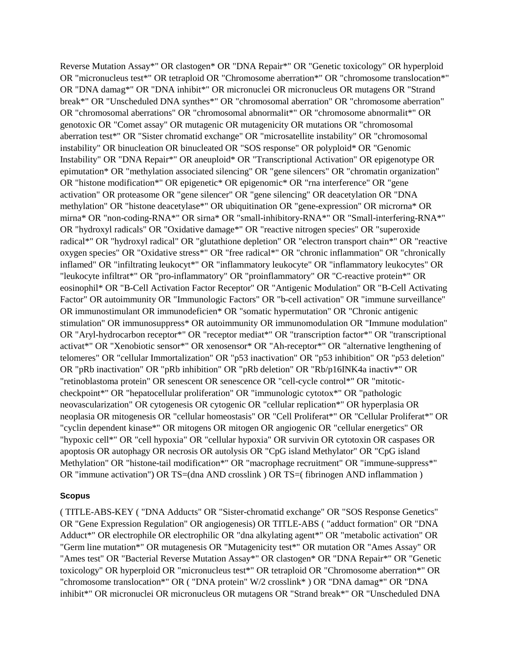Reverse Mutation Assay\*" OR clastogen\* OR "DNA Repair\*" OR "Genetic toxicology" OR hyperploid OR "micronucleus test\*" OR tetraploid OR "Chromosome aberration\*" OR "chromosome translocation\*" OR "DNA damag\*" OR "DNA inhibit\*" OR micronuclei OR micronucleus OR mutagens OR "Strand break\*" OR "Unscheduled DNA synthes\*" OR "chromosomal aberration" OR "chromosome aberration" OR "chromosomal aberrations" OR "chromosomal abnormalit\*" OR "chromosome abnormalit\*" OR genotoxic OR "Comet assay" OR mutagenic OR mutagenicity OR mutations OR "chromosomal aberration test\*" OR "Sister chromatid exchange" OR "microsatellite instability" OR "chromosomal instability" OR binucleation OR binucleated OR "SOS response" OR polyploid\* OR "Genomic Instability" OR "DNA Repair\*" OR aneuploid\* OR "Transcriptional Activation" OR epigenotype OR epimutation\* OR "methylation associated silencing" OR "gene silencers" OR "chromatin organization" OR "histone modification\*" OR epigenetic\* OR epigenomic\* OR "rna interference" OR "gene activation" OR proteasome OR "gene silencer" OR "gene silencing" OR deacetylation OR "DNA methylation" OR "histone deacetylase\*" OR ubiquitination OR "gene-expression" OR microrna\* OR mirna\* OR "non-coding-RNA\*" OR sirna\* OR "small-inhibitory-RNA\*" OR "Small-interfering-RNA\*" OR "hydroxyl radicals" OR "Oxidative damage\*" OR "reactive nitrogen species" OR "superoxide radical\*" OR "hydroxyl radical" OR "glutathione depletion" OR "electron transport chain\*" OR "reactive oxygen species" OR "Oxidative stress\*" OR "free radical\*" OR "chronic inflammation" OR "chronically inflamed" OR "infiltrating leukocyt\*" OR "inflammatory leukocyte" OR "inflammatory leukocytes" OR "leukocyte infiltrat\*" OR "pro-inflammatory" OR "proinflammatory" OR "C-reactive protein\*" OR eosinophil\* OR "B-Cell Activation Factor Receptor" OR "Antigenic Modulation" OR "B-Cell Activating Factor" OR autoimmunity OR "Immunologic Factors" OR "b-cell activation" OR "immune surveillance" OR immunostimulant OR immunodeficien\* OR "somatic hypermutation" OR "Chronic antigenic stimulation" OR immunosuppress\* OR autoimmunity OR immunomodulation OR "Immune modulation" OR "Aryl-hydrocarbon receptor\*" OR "receptor mediat\*" OR "transcription factor\*" OR "transcriptional activat\*" OR "Xenobiotic sensor\*" OR xenosensor\* OR "Ah-receptor\*" OR "alternative lengthening of telomeres" OR "cellular Immortalization" OR "p53 inactivation" OR "p53 inhibition" OR "p53 deletion" OR "pRb inactivation" OR "pRb inhibition" OR "pRb deletion" OR "Rb/p16INK4a inactiv\*" OR "retinoblastoma protein" OR senescent OR senescence OR "cell-cycle control\*" OR "mitoticcheckpoint\*" OR "hepatocellular proliferation" OR "immunologic cytotox\*" OR "pathologic neovascularization" OR cytogenesis OR cytogenic OR "cellular replication\*" OR hyperplasia OR neoplasia OR mitogenesis OR "cellular homeostasis" OR "Cell Proliferat\*" OR "Cellular Proliferat\*" OR "cyclin dependent kinase\*" OR mitogens OR mitogen OR angiogenic OR "cellular energetics" OR "hypoxic cell\*" OR "cell hypoxia" OR "cellular hypoxia" OR survivin OR cytotoxin OR caspases OR apoptosis OR autophagy OR necrosis OR autolysis OR "CpG island Methylator" OR "CpG island Methylation" OR "histone-tail modification\*" OR "macrophage recruitment" OR "immune-suppress\*" OR "immune activation") OR TS=(dna AND crosslink ) OR TS=( fibrinogen AND inflammation )

#### **Scopus**

( TITLE-ABS-KEY ( "DNA Adducts" OR "Sister-chromatid exchange" OR "SOS Response Genetics" OR "Gene Expression Regulation" OR angiogenesis) OR TITLE-ABS ( "adduct formation" OR "DNA Adduct\*" OR electrophile OR electrophilic OR "dna alkylating agent\*" OR "metabolic activation" OR "Germ line mutation\*" OR mutagenesis OR "Mutagenicity test\*" OR mutation OR "Ames Assay" OR "Ames test" OR "Bacterial Reverse Mutation Assay\*" OR clastogen\* OR "DNA Repair\*" OR "Genetic toxicology" OR hyperploid OR "micronucleus test\*" OR tetraploid OR "Chromosome aberration\*" OR "chromosome translocation\*" OR ( "DNA protein" W/2 crosslink\* ) OR "DNA damag\*" OR "DNA inhibit\*" OR micronuclei OR micronucleus OR mutagens OR "Strand break\*" OR "Unscheduled DNA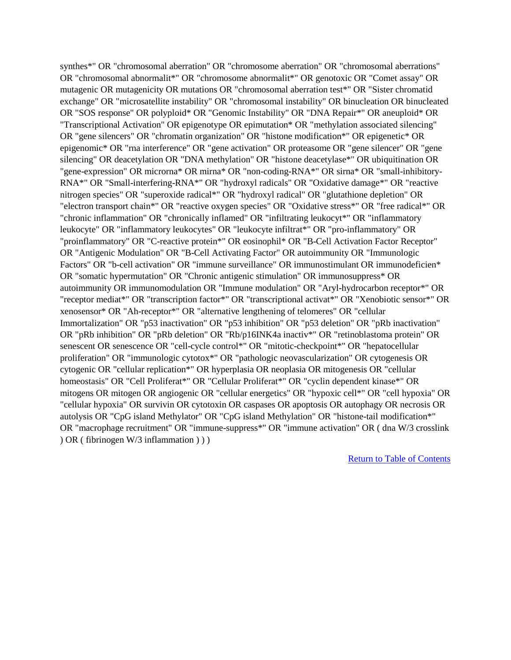synthes\*" OR "chromosomal aberration" OR "chromosome aberration" OR "chromosomal aberrations" OR "chromosomal abnormalit\*" OR "chromosome abnormalit\*" OR genotoxic OR "Comet assay" OR mutagenic OR mutagenicity OR mutations OR "chromosomal aberration test\*" OR "Sister chromatid exchange" OR "microsatellite instability" OR "chromosomal instability" OR binucleation OR binucleated OR "SOS response" OR polyploid\* OR "Genomic Instability" OR "DNA Repair\*" OR aneuploid\* OR "Transcriptional Activation" OR epigenotype OR epimutation\* OR "methylation associated silencing" OR "gene silencers" OR "chromatin organization" OR "histone modification\*" OR epigenetic\* OR epigenomic\* OR "rna interference" OR "gene activation" OR proteasome OR "gene silencer" OR "gene silencing" OR deacetylation OR "DNA methylation" OR "histone deacetylase\*" OR ubiquitination OR "gene-expression" OR microrna\* OR mirna\* OR "non-coding-RNA\*" OR sirna\* OR "small-inhibitory-RNA\*" OR "Small-interfering-RNA\*" OR "hydroxyl radicals" OR "Oxidative damage\*" OR "reactive nitrogen species" OR "superoxide radical\*" OR "hydroxyl radical" OR "glutathione depletion" OR "electron transport chain\*" OR "reactive oxygen species" OR "Oxidative stress\*" OR "free radical\*" OR "chronic inflammation" OR "chronically inflamed" OR "infiltrating leukocyt\*" OR "inflammatory leukocyte" OR "inflammatory leukocytes" OR "leukocyte infiltrat\*" OR "pro-inflammatory" OR "proinflammatory" OR "C-reactive protein\*" OR eosinophil\* OR "B-Cell Activation Factor Receptor" OR "Antigenic Modulation" OR "B-Cell Activating Factor" OR autoimmunity OR "Immunologic Factors" OR "b-cell activation" OR "immune surveillance" OR immunostimulant OR immunodeficien\* OR "somatic hypermutation" OR "Chronic antigenic stimulation" OR immunosuppress\* OR autoimmunity OR immunomodulation OR "Immune modulation" OR "Aryl-hydrocarbon receptor\*" OR "receptor mediat\*" OR "transcription factor\*" OR "transcriptional activat\*" OR "Xenobiotic sensor\*" OR xenosensor\* OR "Ah-receptor\*" OR "alternative lengthening of telomeres" OR "cellular Immortalization" OR "p53 inactivation" OR "p53 inhibition" OR "p53 deletion" OR "pRb inactivation" OR "pRb inhibition" OR "pRb deletion" OR "Rb/p16INK4a inactiv\*" OR "retinoblastoma protein" OR senescent OR senescence OR "cell-cycle control\*" OR "mitotic-checkpoint\*" OR "hepatocellular proliferation" OR "immunologic cytotox\*" OR "pathologic neovascularization" OR cytogenesis OR cytogenic OR "cellular replication\*" OR hyperplasia OR neoplasia OR mitogenesis OR "cellular homeostasis" OR "Cell Proliferat\*" OR "Cellular Proliferat\*" OR "cyclin dependent kinase\*" OR mitogens OR mitogen OR angiogenic OR "cellular energetics" OR "hypoxic cell\*" OR "cell hypoxia" OR "cellular hypoxia" OR survivin OR cytotoxin OR caspases OR apoptosis OR autophagy OR necrosis OR autolysis OR "CpG island Methylator" OR "CpG island Methylation" OR "histone-tail modification\*" OR "macrophage recruitment" OR "immune-suppress\*" OR "immune activation" OR ( dna W/3 crosslink ) OR ( fibrinogen W/3 inflammation ) ) )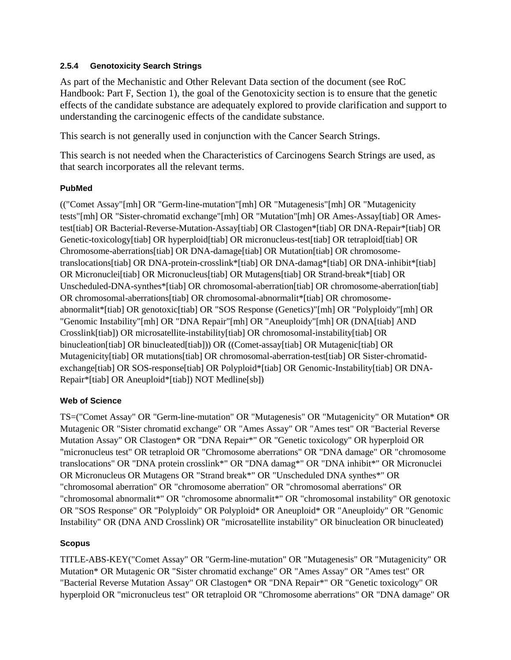#### **2.5.4 Genotoxicity Search Strings**

As part of the Mechanistic and Other Relevant Data section of the document (see RoC Handbook: Part F, Section 1), the goal of the Genotoxicity section is to ensure that the genetic effects of the candidate substance are adequately explored to provide clarification and support to understanding the carcinogenic effects of the candidate substance.

This search is not generally used in conjunction with the Cancer Search Strings.

This search is not needed when the Characteristics of Carcinogens Search Strings are used, as that search incorporates all the relevant terms.

# **PubMed**

(("Comet Assay"[mh] OR "Germ-line-mutation"[mh] OR "Mutagenesis"[mh] OR "Mutagenicity tests"[mh] OR "Sister-chromatid exchange"[mh] OR "Mutation"[mh] OR Ames-Assay[tiab] OR Amestest[tiab] OR Bacterial-Reverse-Mutation-Assay[tiab] OR Clastogen\*[tiab] OR DNA-Repair\*[tiab] OR Genetic-toxicology[tiab] OR hyperploid[tiab] OR micronucleus-test[tiab] OR tetraploid[tiab] OR Chromosome-aberrations[tiab] OR DNA-damage[tiab] OR Mutation[tiab] OR chromosometranslocations[tiab] OR DNA-protein-crosslink\*[tiab] OR DNA-damag\*[tiab] OR DNA-inhibit\*[tiab] OR Micronuclei[tiab] OR Micronucleus[tiab] OR Mutagens[tiab] OR Strand-break\*[tiab] OR Unscheduled-DNA-synthes\*[tiab] OR chromosomal-aberration[tiab] OR chromosome-aberration[tiab] OR chromosomal-aberrations[tiab] OR chromosomal-abnormalit\*[tiab] OR chromosomeabnormalit\*[tiab] OR genotoxic[tiab] OR "SOS Response (Genetics)"[mh] OR "Polyploidy"[mh] OR "Genomic Instability"[mh] OR "DNA Repair"[mh] OR "Aneuploidy"[mh] OR (DNA[tiab] AND Crosslink[tiab]) OR microsatellite-instability[tiab] OR chromosomal-instability[tiab] OR binucleation[tiab] OR binucleated[tiab])) OR ((Comet-assay[tiab] OR Mutagenic[tiab] OR Mutagenicity[tiab] OR mutations[tiab] OR chromosomal-aberration-test[tiab] OR Sister-chromatidexchange[tiab] OR SOS-response[tiab] OR Polyploid\*[tiab] OR Genomic-Instability[tiab] OR DNA-Repair\*[tiab] OR Aneuploid\*[tiab]) NOT Medline[sb])

# **Web of Science**

TS=("Comet Assay" OR "Germ-line-mutation" OR "Mutagenesis" OR "Mutagenicity" OR Mutation\* OR Mutagenic OR "Sister chromatid exchange" OR "Ames Assay" OR "Ames test" OR "Bacterial Reverse Mutation Assay" OR Clastogen\* OR "DNA Repair\*" OR "Genetic toxicology" OR hyperploid OR "micronucleus test" OR tetraploid OR "Chromosome aberrations" OR "DNA damage" OR "chromosome translocations" OR "DNA protein crosslink\*" OR "DNA damag\*" OR "DNA inhibit\*" OR Micronuclei OR Micronucleus OR Mutagens OR "Strand break\*" OR "Unscheduled DNA synthes\*" OR "chromosomal aberration" OR "chromosome aberration" OR "chromosomal aberrations" OR "chromosomal abnormalit\*" OR "chromosome abnormalit\*" OR "chromosomal instability" OR genotoxic OR "SOS Response" OR "Polyploidy" OR Polyploid\* OR Aneuploid\* OR "Aneuploidy" OR "Genomic Instability" OR (DNA AND Crosslink) OR "microsatellite instability" OR binucleation OR binucleated)

# **Scopus**

TITLE-ABS-KEY("Comet Assay" OR "Germ-line-mutation" OR "Mutagenesis" OR "Mutagenicity" OR Mutation\* OR Mutagenic OR "Sister chromatid exchange" OR "Ames Assay" OR "Ames test" OR "Bacterial Reverse Mutation Assay" OR Clastogen\* OR "DNA Repair\*" OR "Genetic toxicology" OR hyperploid OR "micronucleus test" OR tetraploid OR "Chromosome aberrations" OR "DNA damage" OR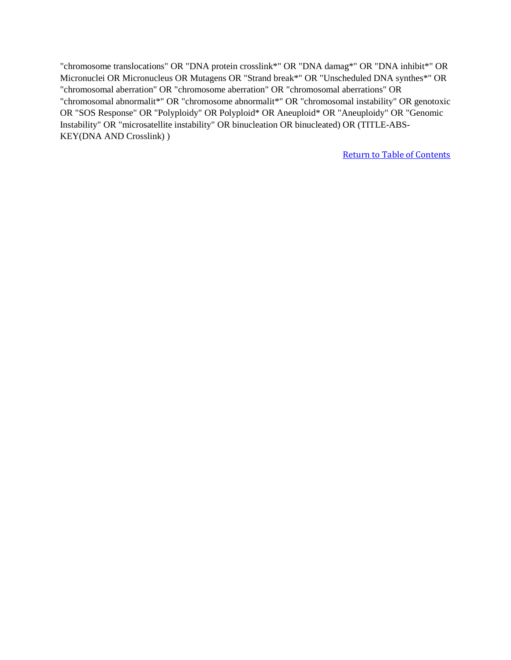"chromosome translocations" OR "DNA protein crosslink\*" OR "DNA damag\*" OR "DNA inhibit\*" OR Micronuclei OR Micronucleus OR Mutagens OR "Strand break\*" OR "Unscheduled DNA synthes\*" OR "chromosomal aberration" OR "chromosome aberration" OR "chromosomal aberrations" OR "chromosomal abnormalit\*" OR "chromosome abnormalit\*" OR "chromosomal instability" OR genotoxic OR "SOS Response" OR "Polyploidy" OR Polyploid\* OR Aneuploid\* OR "Aneuploidy" OR "Genomic Instability" OR "microsatellite instability" OR binucleation OR binucleated) OR (TITLE-ABS-KEY(DNA AND Crosslink) )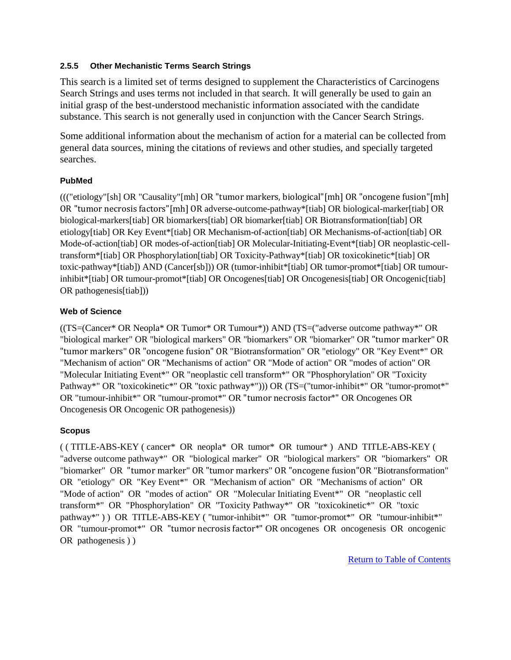#### **2.5.5 Other Mechanistic Terms Search Strings**

This search is a limited set of terms designed to supplement the Characteristics of Carcinogens Search Strings and uses terms not included in that search. It will generally be used to gain an initial grasp of the best-understood mechanistic information associated with the candidate substance. This search is not generally used in conjunction with the Cancer Search Strings.

Some additional information about the mechanism of action for a material can be collected from general data sources, mining the citations of reviews and other studies, and specially targeted searches.

# **PubMed**

((("etiology"[sh] OR "Causality"[mh] OR "tumor markers, biological"[mh] OR "oncogene fusion"[mh] OR "tumor necrosis factors"[mh] OR adverse-outcome-pathway\*[tiab] OR biological-marker[tiab] OR biological-markers[tiab] OR biomarkers[tiab] OR biomarker[tiab] OR Biotransformation[tiab] OR etiology[tiab] OR Key Event\*[tiab] OR Mechanism-of-action[tiab] OR Mechanisms-of-action[tiab] OR Mode-of-action[tiab] OR modes-of-action[tiab] OR Molecular-Initiating-Event\*[tiab] OR neoplastic-celltransform\*[tiab] OR Phosphorylation[tiab] OR Toxicity-Pathway\*[tiab] OR toxicokinetic\*[tiab] OR toxic-pathway\*[tiab]) AND (Cancer[sb])) OR (tumor-inhibit\*[tiab] OR tumor-promot\*[tiab] OR tumourinhibit\*[tiab] OR tumour-promot\*[tiab] OR Oncogenes[tiab] OR Oncogenesis[tiab] OR Oncogenic[tiab] OR pathogenesis[tiab]))

#### **Web of Science**

((TS=(Cancer\* OR Neopla\* OR Tumor\* OR Tumour\*)) AND (TS=("adverse outcome pathway\*" OR "biological marker" OR "biological markers" OR "biomarkers" OR "biomarker" OR "tumor marker" OR "tumor markers" OR "oncogene fusion" OR "Biotransformation" OR "etiology" OR "Key Event\*" OR "Mechanism of action" OR "Mechanisms of action" OR "Mode of action" OR "modes of action" OR "Molecular Initiating Event\*" OR "neoplastic cell transform\*" OR "Phosphorylation" OR "Toxicity Pathway\*" OR "toxicokinetic\*" OR "toxic pathway\*"))) OR (TS=("tumor-inhibit\*" OR "tumor-promot\*" OR "tumour-inhibit\*" OR "tumour-promot\*" OR "tumor necrosis factor\*" OR Oncogenes OR Oncogenesis OR Oncogenic OR pathogenesis))

# **Scopus**

( ( TITLE-ABS-KEY ( cancer\* OR neopla\* OR tumor\* OR tumour\* ) AND TITLE-ABS-KEY ( "adverse outcome pathway\*" OR "biological marker" OR "biological markers" OR "biomarkers" OR "biomarker" OR "tumor marker" OR "tumor markers" OR "oncogene fusion"OR "Biotransformation" OR "etiology" OR "Key Event\*" OR "Mechanism of action" OR "Mechanisms of action" OR "Mode of action" OR "modes of action" OR "Molecular Initiating Event\*" OR "neoplastic cell transform\*" OR "Phosphorylation" OR "Toxicity Pathway\*" OR "toxicokinetic\*" OR "toxic pathway\*")) OR TITLE-ABS-KEY ("tumor-inhibit\*" OR "tumor-promot\*" OR "tumour-inhibit\*" OR "tumour-promot\*" OR "tumor necrosis factor\*" OR oncogenes OR oncogenesis OR oncogenic OR pathogenesis ) )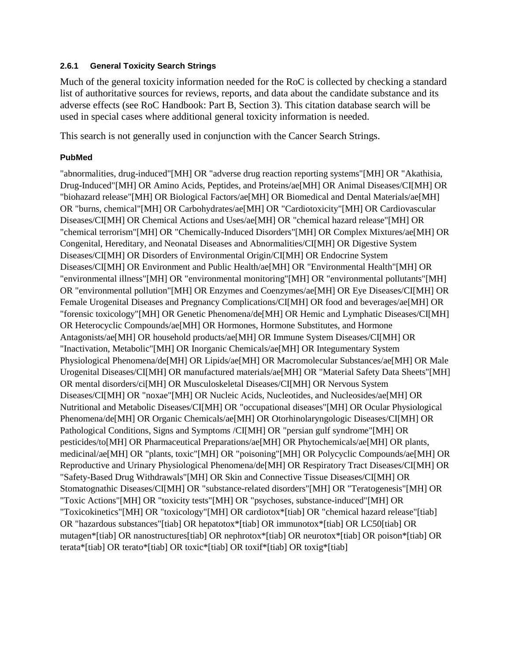#### **2.6.1 General Toxicity Search Strings**

Much of the general toxicity information needed for the RoC is collected by checking a standard list of authoritative sources for reviews, reports, and data about the candidate substance and its adverse effects (see RoC Handbook: Part B, Section 3). This citation database search will be used in special cases where additional general toxicity information is needed.

This search is not generally used in conjunction with the Cancer Search Strings.

#### **PubMed**

"abnormalities, drug-induced"[MH] OR "adverse drug reaction reporting systems"[MH] OR "Akathisia, Drug-Induced"[MH] OR Amino Acids, Peptides, and Proteins/ae[MH] OR Animal Diseases/CI[MH] OR "biohazard release"[MH] OR Biological Factors/ae[MH] OR Biomedical and Dental Materials/ae[MH] OR "burns, chemical"[MH] OR Carbohydrates/ae[MH] OR "Cardiotoxicity"[MH] OR Cardiovascular Diseases/CI[MH] OR Chemical Actions and Uses/ae[MH] OR "chemical hazard release"[MH] OR "chemical terrorism"[MH] OR "Chemically-Induced Disorders"[MH] OR Complex Mixtures/ae[MH] OR Congenital, Hereditary, and Neonatal Diseases and Abnormalities/CI[MH] OR Digestive System Diseases/CI[MH] OR Disorders of Environmental Origin/CI[MH] OR Endocrine System Diseases/CI[MH] OR Environment and Public Health/ae[MH] OR "Environmental Health"[MH] OR "environmental illness"[MH] OR "environmental monitoring"[MH] OR "environmental pollutants"[MH] OR "environmental pollution"[MH] OR Enzymes and Coenzymes/ae[MH] OR Eye Diseases/CI[MH] OR Female Urogenital Diseases and Pregnancy Complications/CI[MH] OR food and beverages/ae[MH] OR "forensic toxicology"[MH] OR Genetic Phenomena/de[MH] OR Hemic and Lymphatic Diseases/CI[MH] OR Heterocyclic Compounds/ae[MH] OR Hormones, Hormone Substitutes, and Hormone Antagonists/ae[MH] OR household products/ae[MH] OR Immune System Diseases/CI[MH] OR "Inactivation, Metabolic"[MH] OR Inorganic Chemicals/ae[MH] OR Integumentary System Physiological Phenomena/de[MH] OR Lipids/ae[MH] OR Macromolecular Substances/ae[MH] OR Male Urogenital Diseases/CI[MH] OR manufactured materials/ae[MH] OR "Material Safety Data Sheets"[MH] OR mental disorders/ci[MH] OR Musculoskeletal Diseases/CI[MH] OR Nervous System Diseases/CI[MH] OR "noxae"[MH] OR Nucleic Acids, Nucleotides, and Nucleosides/ae[MH] OR Nutritional and Metabolic Diseases/CI[MH] OR "occupational diseases"[MH] OR Ocular Physiological Phenomena/de[MH] OR Organic Chemicals/ae[MH] OR Otorhinolaryngologic Diseases/CI[MH] OR Pathological Conditions, Signs and Symptoms /CI[MH] OR "persian gulf syndrome"[MH] OR pesticides/to[MH] OR Pharmaceutical Preparations/ae[MH] OR Phytochemicals/ae[MH] OR plants, medicinal/ae[MH] OR "plants, toxic"[MH] OR "poisoning"[MH] OR Polycyclic Compounds/ae[MH] OR Reproductive and Urinary Physiological Phenomena/de[MH] OR Respiratory Tract Diseases/CI[MH] OR "Safety-Based Drug Withdrawals"[MH] OR Skin and Connective Tissue Diseases/CI[MH] OR Stomatognathic Diseases/CI[MH] OR "substance-related disorders"[MH] OR "Teratogenesis"[MH] OR "Toxic Actions"[MH] OR "toxicity tests"[MH] OR "psychoses, substance-induced"[MH] OR "Toxicokinetics"[MH] OR "toxicology"[MH] OR cardiotox\*[tiab] OR "chemical hazard release"[tiab] OR "hazardous substances"[tiab] OR hepatotox\*[tiab] OR immunotox\*[tiab] OR LC50[tiab] OR mutagen\*[tiab] OR nanostructures[tiab] OR nephrotox\*[tiab] OR neurotox\*[tiab] OR poison\*[tiab] OR terata\*[tiab] OR terato\*[tiab] OR toxic\*[tiab] OR toxif\*[tiab] OR toxig\*[tiab]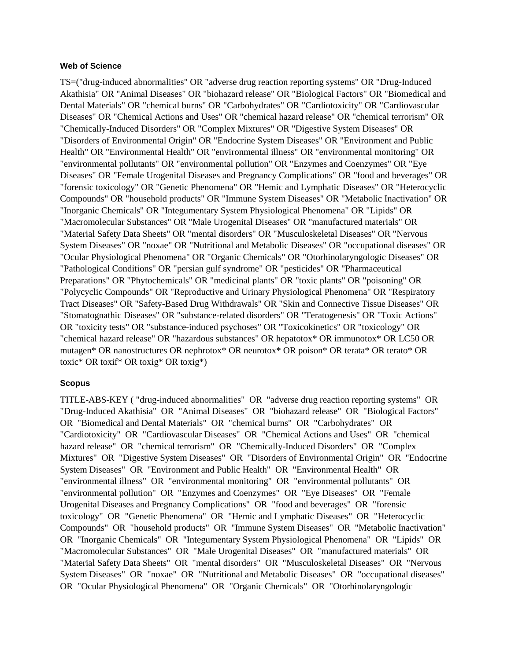#### **Web of Science**

TS=("drug-induced abnormalities" OR "adverse drug reaction reporting systems" OR "Drug-Induced Akathisia" OR "Animal Diseases" OR "biohazard release" OR "Biological Factors" OR "Biomedical and Dental Materials" OR "chemical burns" OR "Carbohydrates" OR "Cardiotoxicity" OR "Cardiovascular Diseases" OR "Chemical Actions and Uses" OR "chemical hazard release" OR "chemical terrorism" OR "Chemically-Induced Disorders" OR "Complex Mixtures" OR "Digestive System Diseases" OR "Disorders of Environmental Origin" OR "Endocrine System Diseases" OR "Environment and Public Health" OR "Environmental Health" OR "environmental illness" OR "environmental monitoring" OR "environmental pollutants" OR "environmental pollution" OR "Enzymes and Coenzymes" OR "Eye Diseases" OR "Female Urogenital Diseases and Pregnancy Complications" OR "food and beverages" OR "forensic toxicology" OR "Genetic Phenomena" OR "Hemic and Lymphatic Diseases" OR "Heterocyclic Compounds" OR "household products" OR "Immune System Diseases" OR "Metabolic Inactivation" OR "Inorganic Chemicals" OR "Integumentary System Physiological Phenomena" OR "Lipids" OR "Macromolecular Substances" OR "Male Urogenital Diseases" OR "manufactured materials" OR "Material Safety Data Sheets" OR "mental disorders" OR "Musculoskeletal Diseases" OR "Nervous System Diseases" OR "noxae" OR "Nutritional and Metabolic Diseases" OR "occupational diseases" OR "Ocular Physiological Phenomena" OR "Organic Chemicals" OR "Otorhinolaryngologic Diseases" OR "Pathological Conditions" OR "persian gulf syndrome" OR "pesticides" OR "Pharmaceutical Preparations" OR "Phytochemicals" OR "medicinal plants" OR "toxic plants" OR "poisoning" OR "Polycyclic Compounds" OR "Reproductive and Urinary Physiological Phenomena" OR "Respiratory Tract Diseases" OR "Safety-Based Drug Withdrawals" OR "Skin and Connective Tissue Diseases" OR "Stomatognathic Diseases" OR "substance-related disorders" OR "Teratogenesis" OR "Toxic Actions" OR "toxicity tests" OR "substance-induced psychoses" OR "Toxicokinetics" OR "toxicology" OR "chemical hazard release" OR "hazardous substances" OR hepatotox\* OR immunotox\* OR LC50 OR mutagen\* OR nanostructures OR nephrotox\* OR neurotox\* OR poison\* OR terata\* OR terato\* OR toxic\* OR toxif\* OR toxig\* OR toxig\*)

#### **Scopus**

TITLE-ABS-KEY ( "drug-induced abnormalities" OR "adverse drug reaction reporting systems" OR "Drug-Induced Akathisia" OR "Animal Diseases" OR "biohazard release" OR "Biological Factors" OR "Biomedical and Dental Materials" OR "chemical burns" OR "Carbohydrates" OR "Cardiotoxicity" OR "Cardiovascular Diseases" OR "Chemical Actions and Uses" OR "chemical hazard release" OR "chemical terrorism" OR "Chemically-Induced Disorders" OR "Complex Mixtures" OR "Digestive System Diseases" OR "Disorders of Environmental Origin" OR "Endocrine System Diseases" OR "Environment and Public Health" OR "Environmental Health" OR "environmental illness" OR "environmental monitoring" OR "environmental pollutants" OR "environmental pollution" OR "Enzymes and Coenzymes" OR "Eye Diseases" OR "Female Urogenital Diseases and Pregnancy Complications" OR "food and beverages" OR "forensic toxicology" OR "Genetic Phenomena" OR "Hemic and Lymphatic Diseases" OR "Heterocyclic Compounds" OR "household products" OR "Immune System Diseases" OR "Metabolic Inactivation" OR "Inorganic Chemicals" OR "Integumentary System Physiological Phenomena" OR "Lipids" OR "Macromolecular Substances" OR "Male Urogenital Diseases" OR "manufactured materials" OR "Material Safety Data Sheets" OR "mental disorders" OR "Musculoskeletal Diseases" OR "Nervous System Diseases" OR "noxae" OR "Nutritional and Metabolic Diseases" OR "occupational diseases" OR "Ocular Physiological Phenomena" OR "Organic Chemicals" OR "Otorhinolaryngologic